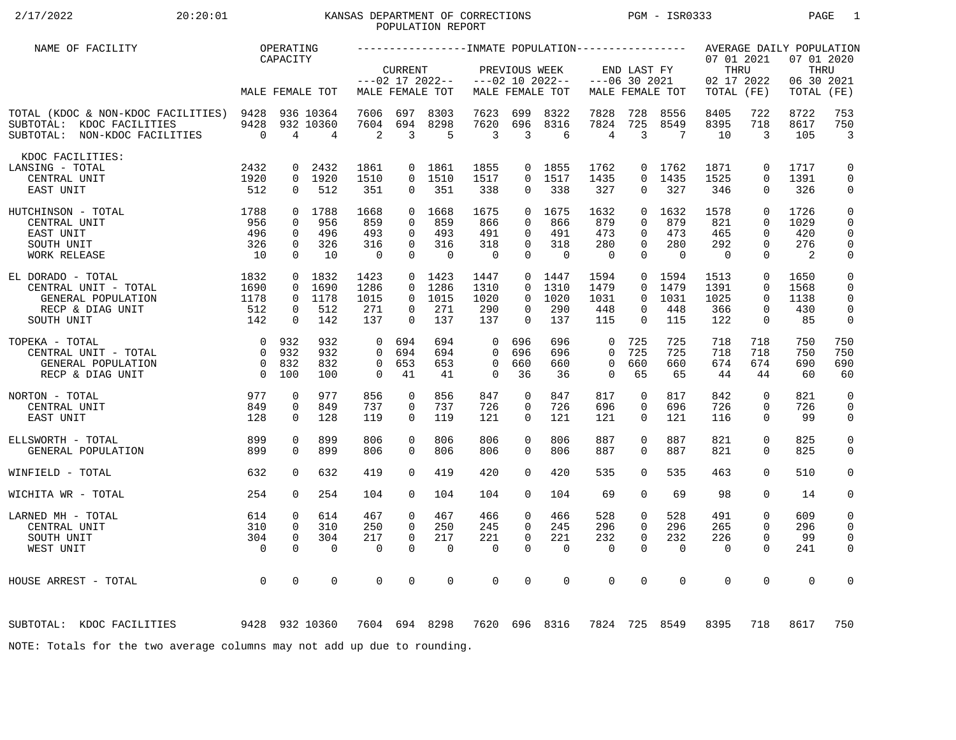# 2/17/2022 20:20:01 KANSAS DEPARTMENT OF CORRECTIONS PGM - ISR0333 PAGE 1 POPULATION REPORT

| NAME OF FACILITY                                                                                      |                                                                | OPERATING                                                |                                    |                                                 |                                                         |                                          |                                                       |                                                                      |                                       |                                                 |                                                              |                                       |                                          |                                                                      | AVERAGE DAILY POPULATION          |                                                  |
|-------------------------------------------------------------------------------------------------------|----------------------------------------------------------------|----------------------------------------------------------|------------------------------------|-------------------------------------------------|---------------------------------------------------------|------------------------------------------|-------------------------------------------------------|----------------------------------------------------------------------|---------------------------------------|-------------------------------------------------|--------------------------------------------------------------|---------------------------------------|------------------------------------------|----------------------------------------------------------------------|-----------------------------------|--------------------------------------------------|
|                                                                                                       |                                                                | CAPACITY                                                 |                                    |                                                 | <b>CURRENT</b>                                          | $---02$ 17 2022--                        |                                                       | PREVIOUS WEEK                                                        | $---02$ 10 2022--                     |                                                 | END LAST FY<br>$---06$ 30 2021                               |                                       | 07 01 2021<br>THRU<br>02 17 2022         |                                                                      | 07 01 2020<br>THRU<br>06 30 2021  |                                                  |
|                                                                                                       |                                                                |                                                          | MALE FEMALE TOT                    |                                                 |                                                         | MALE FEMALE TOT                          |                                                       |                                                                      | MALE FEMALE TOT                       |                                                 |                                                              | MALE FEMALE TOT                       | TOTAL (FE)                               |                                                                      | TOTAL                             | (FE)                                             |
| TOTAL (KDOC & NON-KDOC FACILITIES) 9428<br>SUBTOTAL: KDOC FACILITIES<br>SUBTOTAL: NON-KDOC FACILITIES | 9428<br>$\overline{0}$                                         | 4                                                        | 936 10364<br>932 10360<br>4        | 7606<br>7604<br>2                               | 697<br>694<br>3                                         | 8303<br>8298<br>5                        | 7623<br>7620<br>3                                     | 699<br>696<br>3                                                      | 8322<br>8316<br>6                     | 7828<br>7824<br>4                               | 728<br>725<br>3                                              | 8556<br>8549<br>7                     | 8405<br>8395<br>10                       | 722<br>718<br>3                                                      | 8722<br>8617<br>105               | 753<br>750<br>$\overline{3}$                     |
| KDOC FACILITIES:<br>LANSING - TOTAL<br>CENTRAL UNIT<br>EAST UNIT                                      | 2432<br>1920<br>512                                            | 0<br>$\Omega$<br>$\mathbf 0$                             | 2432<br>1920<br>512                | 1861<br>1510<br>351                             | $\Omega$<br>$\Omega$<br>0                               | 1861<br>1510<br>351                      | 1855<br>1517<br>338                                   | $\Omega$<br>$\mathbf{0}$                                             | $0$ 1855<br>1517<br>338               | 1762<br>1435<br>327                             | $\Omega$<br>$\Omega$<br>0                                    | 1762<br>1435<br>327                   | 1871<br>1525<br>346                      | $\mathbf 0$<br>$\Omega$<br>$\mathbf 0$                               | 1717<br>1391<br>326               | 0<br>$\mathbf 0$<br>0                            |
| 1788<br>HUTCHINSON - TOTAL<br>CENTRAL UNIT<br>EAST UNIT<br>SOUTH UNIT<br>WORK RELEASE                 | 956<br>496<br>326<br>10                                        | $\mathbf 0$<br>$\mathbf 0$<br>$\mathbf 0$<br>$\mathbf 0$ | 0 1788<br>956<br>496<br>326<br>10  | 1668<br>859<br>493<br>316<br>$\overline{0}$     | $\mathbf 0$<br>$\Omega$<br>0<br>$\mathbf 0$<br>$\Omega$ | 1668<br>859<br>493<br>316<br>$\mathbf 0$ | 1675<br>866<br>491<br>318<br>$\overline{\phantom{0}}$ | $\overline{0}$<br>$\Omega$<br>$\mathbf 0$<br>$\mathbf 0$<br>$\Omega$ | 1675<br>866<br>491<br>318<br>$\Omega$ | 1632<br>879<br>473<br>280<br>$\overline{0}$     | 0<br>$\Omega$<br>$\Omega$<br>0<br>$\Omega$                   | 1632<br>879<br>473<br>280<br>$\Omega$ | 1578<br>821<br>465<br>292<br>$\mathbf 0$ | $\mathbf 0$<br>$\Omega$<br>$\mathbf 0$<br>$\mathbf 0$<br>$\mathbf 0$ | 1726<br>1029<br>420<br>276<br>2   | $\mathbf 0$<br>0<br>0<br>0<br>0                  |
| EL DORADO - TOTAL<br>CENTRAL UNIT - TOTAL<br>GENERAL POPULATION<br>RECP & DIAG UNIT<br>SOUTH UNIT     | 1832<br>1690<br>1178<br>512<br>142                             | $\overline{0}$<br>$\Omega$<br>$\Omega$<br>0<br>$\Omega$  | 1832<br>1690<br>1178<br>512<br>142 | 1423<br>1286<br>1015<br>271<br>137              | $\Omega$<br>$\Omega$<br>$\Omega$<br>$\Omega$            | $0$ 1423<br>1286<br>1015<br>271<br>137   | 1447<br>1310<br>1020<br>290<br>137                    | $\Omega$<br>$\Omega$<br>$\Omega$<br>$\Omega$                         | 0 1447<br>1310<br>1020<br>290<br>137  | 1594<br>1479<br>1031<br>448<br>115              | $\mathbf{0}$<br>$\Omega$<br>$\Omega$<br>$\Omega$<br>$\Omega$ | 1594<br>1479<br>1031<br>448<br>115    | 1513<br>1391<br>1025<br>366<br>122       | 0<br>$\Omega$<br>$\Omega$<br>0<br>$\Omega$                           | 1650<br>1568<br>1138<br>430<br>85 | 0<br>0<br>$\Omega$<br>$\mathbf 0$<br>$\mathbf 0$ |
| TOPEKA - TOTAL<br>CENTRAL UNIT - TOTAL<br>GENERAL POPULATION<br>RECP & DIAG UNIT                      | $\overline{0}$<br>$\Omega$<br>$\overline{0}$<br>$\overline{0}$ | 932<br>932<br>832<br>100                                 | 932<br>932<br>832<br>100           | $\Omega$<br>$\Omega$<br>$\mathbf 0$<br>$\Omega$ | 694<br>694<br>653<br>41                                 | 694<br>694<br>653<br>41                  | $\Omega$<br>$\Omega$<br>$\mathbf 0$<br>$\Omega$       | 696<br>696<br>660<br>36                                              | 696<br>696<br>660<br>36               | $\Omega$<br>$\Omega$<br>$\mathbf 0$<br>$\Omega$ | 725<br>725<br>660<br>65                                      | 725<br>725<br>660<br>65               | 718<br>718<br>674<br>44                  | 718<br>718<br>674<br>44                                              | 750<br>750<br>690<br>60           | 750<br>750<br>690<br>60                          |
| NORTON - TOTAL<br>CENTRAL UNIT<br>EAST UNIT                                                           | 977<br>849<br>128                                              | $\Omega$<br>$\mathbf 0$<br>$\Omega$                      | 977<br>849<br>128                  | 856<br>737<br>119                               | $\Omega$<br>$\Omega$<br>$\Omega$                        | 856<br>737<br>119                        | 847<br>726<br>121                                     | $\mathbf 0$<br>$\mathbf 0$<br>$\Omega$                               | 847<br>726<br>121                     | 817<br>696<br>121                               | $\mathbf 0$<br>0<br>$\Omega$                                 | 817<br>696<br>121                     | 842<br>726<br>116                        | $\Omega$<br>$\mathbf 0$<br>$\Omega$                                  | 821<br>726<br>99                  | $\mathbf 0$<br>$\mathbf 0$<br>$\mathbf 0$        |
| ELLSWORTH - TOTAL<br>GENERAL POPULATION                                                               | 899<br>899                                                     | $\mathbf 0$<br>$\mathbf 0$                               | 899<br>899                         | 806<br>806                                      | $\Omega$<br>$\mathbf 0$                                 | 806<br>806                               | 806<br>806                                            | $\mathbf 0$<br>0                                                     | 806<br>806                            | 887<br>887                                      | 0<br>0                                                       | 887<br>887                            | 821<br>821                               | $\mathbf 0$<br>$\mathbf 0$                                           | 825<br>825                        | 0<br>$\mathbf 0$                                 |
| WINFIELD - TOTAL                                                                                      | 632                                                            | $\Omega$                                                 | 632                                | 419                                             | $\Omega$                                                | 419                                      | 420                                                   | $\Omega$                                                             | 420                                   | 535                                             | $\Omega$                                                     | 535                                   | 463                                      | $\Omega$                                                             | 510                               | $\mathbf 0$                                      |
| WICHITA WR - TOTAL                                                                                    | 254                                                            | $\Omega$                                                 | 254                                | 104                                             | $\Omega$                                                | 104                                      | 104                                                   | $\Omega$                                                             | 104                                   | 69                                              | 0                                                            | 69                                    | 98                                       | $\mathbf 0$                                                          | 14                                | 0                                                |
| LARNED MH - TOTAL<br>CENTRAL UNIT<br>SOUTH UNIT<br>WEST UNIT                                          | 614<br>310<br>304<br>$\overline{0}$                            | 0<br>$\Omega$<br>$\mathbf 0$<br>$\mathbf 0$              | 614<br>310<br>304<br>0             | 467<br>250<br>217<br>$\mathbf 0$                | $\Omega$<br>$\Omega$<br>$\mathbf 0$<br>$\Omega$         | 467<br>250<br>217<br>$\mathbf 0$         | 466<br>245<br>221<br>$\mathbf 0$                      | 0<br>$\Omega$<br>0<br>$\mathbf 0$                                    | 466<br>245<br>221<br>$\mathbf 0$      | 528<br>296<br>232<br>$\mathbf 0$                | 0<br>$\Omega$<br>0<br>$\Omega$                               | 528<br>296<br>232<br>$\mathbf 0$      | 491<br>265<br>226<br>$\Omega$            | $\mathbf 0$<br>$\Omega$<br>$\mathbf 0$<br>$\mathbf 0$                | 609<br>296<br>99<br>241           | 0<br>0<br>0<br>0                                 |
| HOUSE ARREST - TOTAL                                                                                  | $\overline{0}$                                                 | $\Omega$                                                 | $\Omega$                           | 0                                               | $\Omega$                                                | $\Omega$                                 | $\Omega$                                              | $\Omega$                                                             | $\Omega$                              | $\Omega$                                        | $\Omega$                                                     | $\Omega$                              | $\Omega$                                 | $\mathsf 0$                                                          | $\Omega$                          | $\Omega$                                         |
| 9428 932 10360<br>SUBTOTAL: KDOC FACILITIES                                                           |                                                                |                                                          |                                    |                                                 |                                                         | 7604 694 8298                            |                                                       |                                                                      | 7620 696 8316                         |                                                 |                                                              | 7824 725 8549                         | 8395                                     | 718                                                                  | 8617                              | 750                                              |
| NOTE: Totals for the two average columns may not add up due to rounding.                              |                                                                |                                                          |                                    |                                                 |                                                         |                                          |                                                       |                                                                      |                                       |                                                 |                                                              |                                       |                                          |                                                                      |                                   |                                                  |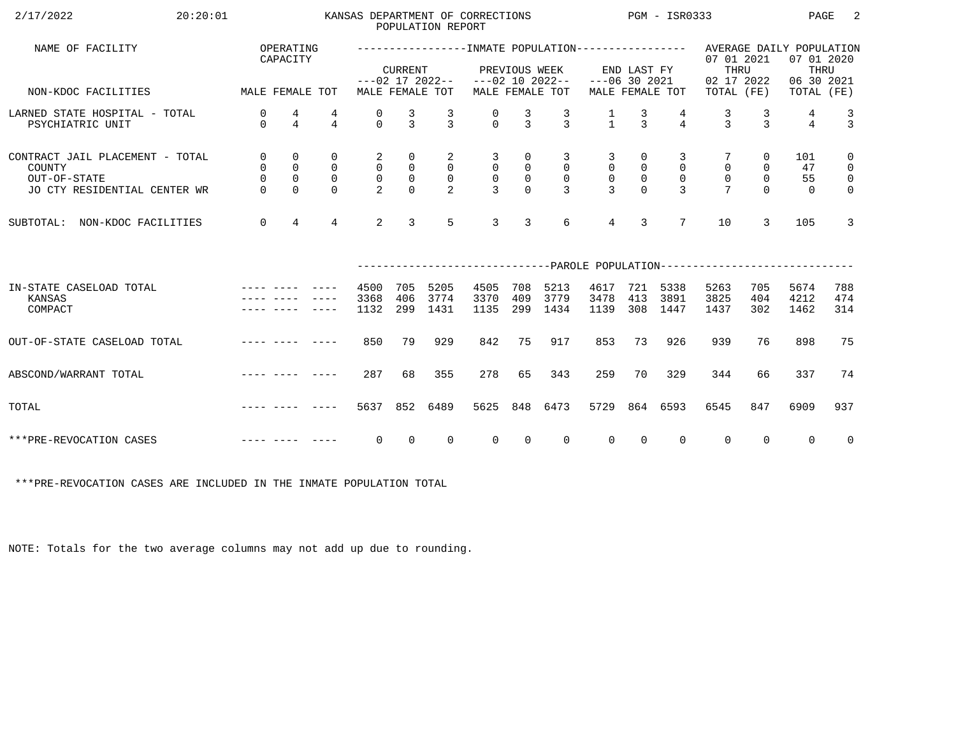| 2/17/2022<br>20:20:01                                                                     |                                                         |                                                               |                                                           |                                                       |                                                                          | POPULATION REPORT                                            | KANSAS DEPARTMENT OF CORRECTIONS                                     |                                             |                                                                    | $PGM - ISR0333$                                  |                                                                 |                                                       |                                                                           |                                                 | PAGE                        | -2                                                                          |
|-------------------------------------------------------------------------------------------|---------------------------------------------------------|---------------------------------------------------------------|-----------------------------------------------------------|-------------------------------------------------------|--------------------------------------------------------------------------|--------------------------------------------------------------|----------------------------------------------------------------------|---------------------------------------------|--------------------------------------------------------------------|--------------------------------------------------|-----------------------------------------------------------------|-------------------------------------------------------|---------------------------------------------------------------------------|-------------------------------------------------|-----------------------------|-----------------------------------------------------------------------------|
| NAME OF FACILITY                                                                          |                                                         | OPERATING<br>CAPACITY                                         |                                                           |                                                       | <b>CURRENT</b>                                                           |                                                              |                                                                      |                                             | PREVIOUS WEEK                                                      |                                                  | END LAST FY                                                     |                                                       | 07 01 2021<br>THRU                                                        |                                                 | 07 01 2020<br>THRU          |                                                                             |
| MALE FEMALE TOT<br>NON-KDOC FACILITIES                                                    |                                                         |                                                               |                                                           |                                                       |                                                                          | MALE FEMALE TOT                                              | $---02$ 17 2022-- $---02$ 10 2022--                                  |                                             | MALE FEMALE TOT                                                    | $---06$ 30 2021                                  |                                                                 | MALE FEMALE TOT                                       | 02 17 2022<br>TOTAL (FE)                                                  |                                                 | 06 30 2021<br>TOTAL (FE)    |                                                                             |
| LARNED STATE HOSPITAL - TOTAL<br>PSYCHIATRIC UNIT                                         | 0<br>$\Omega$                                           | 4<br>$\overline{4}$                                           | 4<br>$\overline{4}$                                       | 0<br>$\Omega$                                         | $\frac{3}{3}$                                                            | $\frac{3}{3}$                                                | $\frac{0}{0}$                                                        | $\frac{3}{3}$                               | $\frac{3}{3}$                                                      | $\frac{1}{1}$                                    | $\frac{3}{3}$                                                   | $\overline{4}$                                        | $\frac{3}{3}$                                                             | $\frac{3}{3}$                                   | 4<br>$\overline{4}$         | $\frac{3}{3}$                                                               |
| CONTRACT JAIL PLACEMENT - TOTAL<br>COUNTY<br>OUT-OF-STATE<br>JO CTY RESIDENTIAL CENTER WR | $\mathsf{O}$<br>$\mathsf{O}$<br>$\mathsf 0$<br>$\Omega$ | $\mathbf 0$<br>$\mathsf 0$<br>$\mathsf{O}\xspace$<br>$\Omega$ | $\mathbf 0$<br>$\mathsf{O}$<br>$\overline{0}$<br>$\Omega$ | $\overline{a}$<br>0<br>$\mathsf{O}$<br>$\overline{2}$ | $\overline{0}$<br>$\begin{smallmatrix}0\\0\end{smallmatrix}$<br>$\Omega$ | $\overline{a}$<br>$\overline{0}$<br>$\overline{\phantom{0}}$ | $\overline{\mathbf{3}}$<br>$\begin{matrix} 0 \\ 0 \\ 3 \end{matrix}$ | 0<br>$\mathsf 0$<br>$\mathsf 0$<br>$\Omega$ | $\overline{3}$<br>$\overline{0}$<br>$\overline{0}$<br>$\mathbf{3}$ | 3<br>$\mathsf 0$<br>$\mathsf{O}$<br>$\mathbf{R}$ | $\overline{0}$<br>$\begin{smallmatrix}0\\0\\0\end{smallmatrix}$ | 3<br>$\overline{0}$<br>$\overline{0}$<br>$\mathbf{R}$ | $\mathsf{O}\xspace$<br>$\overline{0}$<br>$\overline{7}$                   | $\overline{0}$<br>0<br>$\mathsf{O}$<br>$\Omega$ | 101<br>47<br>55<br>$\Omega$ | $\mathsf{O}$<br>$\overline{0}$<br>$\overline{\mathbf{0}}$<br>$\overline{0}$ |
| SUBTOTAL: NON-KDOC FACILITIES                                                             | $\overline{0}$                                          | $\overline{4}$                                                | $\overline{4}$                                            | 2                                                     | $\overline{3}$                                                           | 5                                                            | $\overline{3}$                                                       | 3                                           | 6                                                                  | $\overline{4}$                                   | $\overline{3}$                                                  | $7\overline{ }$                                       | 10                                                                        | 3                                               | 105                         | $\mathbf{3}$                                                                |
|                                                                                           |                                                         |                                                               |                                                           |                                                       |                                                                          |                                                              |                                                                      |                                             |                                                                    |                                                  |                                                                 |                                                       | ------------------------------PAROLE POPULATION-------------------------- |                                                 |                             |                                                                             |
| IN-STATE CASELOAD TOTAL<br>KANSAS<br>COMPACT                                              |                                                         |                                                               |                                                           | 4500<br>3368<br>1132                                  | 705<br>406<br>299                                                        | 5205<br>3774<br>1431                                         | 4505<br>3370<br>1135                                                 | 708<br>409<br>299                           | 5213<br>3779<br>1434                                               | 4617<br>3478<br>1139                             | 413                                                             | 721 5338<br>3891<br>308 1447                          | 5263<br>3825<br>1437                                                      | 705<br>404<br>302                               | 5674<br>4212<br>1462        | 788<br>474<br>314                                                           |
| OUT-OF-STATE CASELOAD TOTAL                                                               |                                                         |                                                               |                                                           | 850                                                   | 79                                                                       | 929                                                          | 842                                                                  | 75                                          | 917                                                                | 853                                              | 73                                                              | 926                                                   | 939                                                                       | 76                                              | 898                         | 75                                                                          |
| ABSCOND/WARRANT TOTAL                                                                     |                                                         |                                                               |                                                           | 287                                                   | 68                                                                       | 355                                                          | 278                                                                  | 65                                          | 343                                                                | 259                                              | 70                                                              | 329                                                   | 344                                                                       | 66                                              | 337                         | 74                                                                          |
| TOTAL                                                                                     |                                                         |                                                               |                                                           | 5637                                                  | 852                                                                      | 6489                                                         | 5625                                                                 | 848                                         | 6473                                                               | 5729                                             |                                                                 | 864 6593                                              | 6545                                                                      | 847                                             | 6909                        | 937                                                                         |
| ***PRE-REVOCATION CASES                                                                   |                                                         |                                                               |                                                           | $\overline{0}$                                        | $\overline{0}$                                                           | $\overline{0}$                                               | $\overline{0}$                                                       | $\overline{0}$                              | $\Omega$                                                           | $\overline{0}$                                   | $\overline{0}$                                                  | $\mathbf{0}$                                          | $\overline{0}$                                                            | $\Omega$                                        | $\Omega$                    | $\overline{0}$                                                              |

\*\*\*PRE-REVOCATION CASES ARE INCLUDED IN THE INMATE POPULATION TOTAL

NOTE: Totals for the two average columns may not add up due to rounding.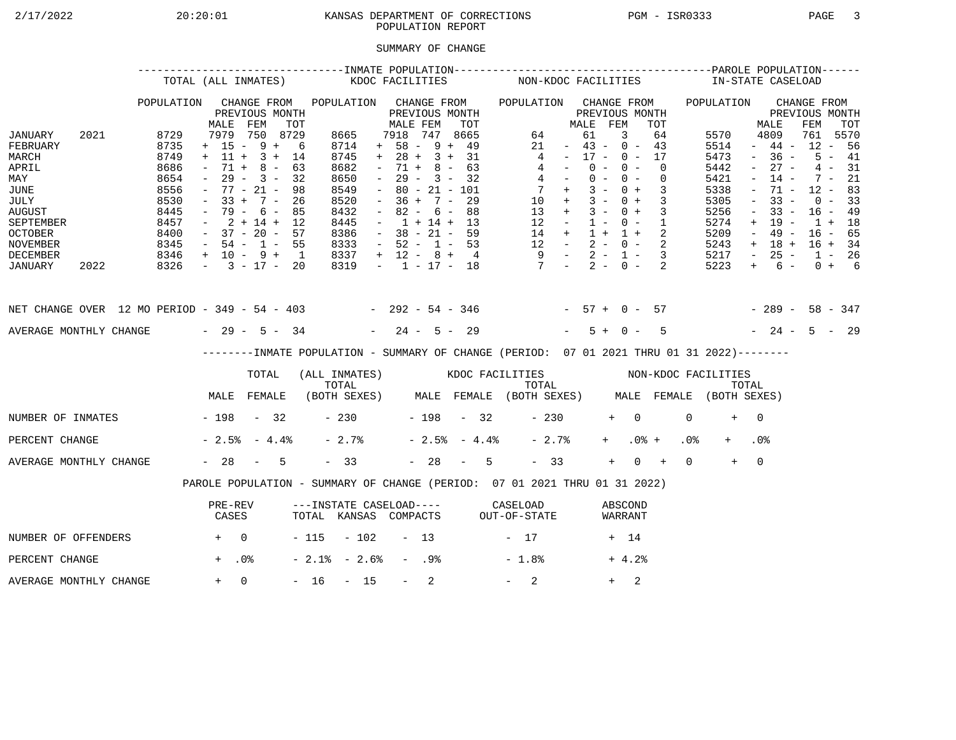## 2/17/2022 20:20:01 KANSAS DEPARTMENT OF CORRECTIONS PGM - ISR0333 PAGE 3 POPULATION REPORT

## SUMMARY OF CHANGE

|                                                                                                                                                        |              |                                                                                                                                   | TOTAL (ALL INMATES)                                                                                                                           |                                                                                                                                      |                                                                    |                                                                                                                                |                                                                                    |                                     | KDOC FACILITIES               |                |                                                                                                                                                                                                             | NON-KDOC FACILITIES             |                                                                                                    |                                                                                |                                                                                 |           |                                                                                                                           |                                                                                                     |          |                                                                                                                    | IN-STATE CASELOAD                                                                                                                                                                                   |                                                                                                                                |                          |                                                                                                      |                                                                                                                                |
|--------------------------------------------------------------------------------------------------------------------------------------------------------|--------------|-----------------------------------------------------------------------------------------------------------------------------------|-----------------------------------------------------------------------------------------------------------------------------------------------|--------------------------------------------------------------------------------------------------------------------------------------|--------------------------------------------------------------------|--------------------------------------------------------------------------------------------------------------------------------|------------------------------------------------------------------------------------|-------------------------------------|-------------------------------|----------------|-------------------------------------------------------------------------------------------------------------------------------------------------------------------------------------------------------------|---------------------------------|----------------------------------------------------------------------------------------------------|--------------------------------------------------------------------------------|---------------------------------------------------------------------------------|-----------|---------------------------------------------------------------------------------------------------------------------------|-----------------------------------------------------------------------------------------------------|----------|--------------------------------------------------------------------------------------------------------------------|-----------------------------------------------------------------------------------------------------------------------------------------------------------------------------------------------------|--------------------------------------------------------------------------------------------------------------------------------|--------------------------|------------------------------------------------------------------------------------------------------|--------------------------------------------------------------------------------------------------------------------------------|
| JANUARY<br>FEBRUARY<br>MARCH<br>APRIL<br>MAY<br>JUNE<br>JULY<br><b>AUGUST</b><br>SEPTEMBER<br><b>OCTOBER</b><br>NOVEMBER<br><b>DECEMBER</b><br>JANUARY | 2021<br>2022 | POPULATION<br>8729<br>8735<br>8749<br>8686<br>8654<br>8556<br>8530<br>8445<br>8457<br>8400<br>8345<br>$8346 + 10 - 9 + 1$<br>8326 | MALE<br>7979<br>$+$ 15 - 9 +<br>$+ 11 +$<br>$\sim$<br>$\sim$<br>$\sim$<br>$33 +$<br>$\sim$<br>$-37 - 20 -$<br>- 54 - 1 - 55<br>$-3 - 17 - 20$ | CHANGE FROM<br>PREVIOUS MONTH<br>FEM<br>750<br>$3 +$<br>$71 + 8 -$<br>$29 - 3 -$<br>$77 - 21 -$<br>$7 -$<br>$79 - 6 -$<br>$2 + 14 +$ | TOT<br>8729<br>- 6<br>14<br>63<br>32<br>98<br>26<br>85<br>12<br>57 | POPULATION CHANGE FROM<br>8665<br>8714<br>8745<br>8682<br>8650<br>8549<br>8520<br>8432<br>8445<br>8386<br>8333<br>8337<br>8319 | $+$<br>$+$<br>$\overline{\phantom{a}}$<br>$\sim$<br>$\sim$ $-$<br>$\sim$<br>$\sim$ | 7918<br>$28 +$<br>$-71 +$<br>$36 +$ | MALE FEM<br>747<br>$1 + 14 +$ | $3 +$<br>$7 -$ | PREVIOUS MONTH<br>TOT<br>8665<br>$58 - 9 + 49$<br>31<br>$8 - 63$<br>$29 - 3 - 32$<br>$80 - 21 - 101$<br>29<br>$82 - 6 - 88$<br>13<br>$38 - 21 - 59$<br>$-52 - 1 - 53$<br>$+ 12 - 8 + 4$<br>$-1$ $-17$ $-18$ | POPULATION CHANGE FROM<br>$7 -$ | 64<br>21<br>4<br>4<br>$4 -$<br>$7 +$<br>10<br>13<br>12 <sup>°</sup><br>14<br>12<br>$9 - 2 - 1 - 3$ | $\sim$<br>$\sim$ $-$<br>$+$<br>$+$<br>$\sim$<br>$+$<br>$\sim 100$ km s $^{-1}$ | MALE FEM<br>61<br>$43 -$<br>$17 -$<br>$0 -$<br>$0 -$<br>$3 -$<br>$3 -$<br>$1 -$ | $3 - 0 +$ | PREVIOUS MONTH<br>3<br>$0 -$<br>$0 -$<br>$0 -$<br>$0 -$<br>$0 +$<br>$0 +$<br>$0 -$<br>$1 + 1 +$<br>$2 - 0 -$<br>$2 - 0 -$ | TOT<br>64<br>43<br>17<br>$\Omega$<br>0<br>3<br>$\overline{3}$<br>3<br>1<br>2<br>2<br>$\overline{2}$ |          | POPULATION<br>5570<br>5514<br>5473<br>5442<br>5421<br>5338<br>5305<br>5256<br>5274<br>5209<br>5243<br>5217<br>5223 | $\overline{\phantom{a}}$<br>$\overline{\phantom{a}}$<br>$\overline{\phantom{a}}$<br>$\overline{\phantom{a}}$<br>$\overline{\phantom{a}}$<br>$+$<br>$\overline{\phantom{a}}$<br>$+$<br>$\sim$<br>$+$ | MALE<br>4809<br>$-44 -$<br>$36 -$<br>$27 -$<br>$14 -$<br>$71 -$<br>$33 -$<br>$33 -$<br>19<br>$49 -$<br>$18 +$<br>$25 -$<br>6 – | $\overline{\phantom{a}}$ | CHANGE FROM<br>FEM<br>761<br>$5 -$<br>$4 -$<br>$7 -$<br>$12 -$<br>$0 -$<br>$16 -$<br>$1 +$<br>$16 -$ | PREVIOUS MONTH<br>TOT<br>5570<br>$12 - 56$<br>41<br>31<br>21<br>83<br>33<br>49<br>18<br>65<br>$16 + 34$<br>$1 - 26$<br>$0 + 6$ |
| NET CHANGE OVER 12 MO PERIOD - 349 - 54 - 403 - 292 - 54 - 346 - 57 + 0 - 57                                                                           |              |                                                                                                                                   |                                                                                                                                               |                                                                                                                                      |                                                                    |                                                                                                                                |                                                                                    |                                     |                               |                |                                                                                                                                                                                                             |                                 |                                                                                                    |                                                                                |                                                                                 |           |                                                                                                                           |                                                                                                     |          |                                                                                                                    |                                                                                                                                                                                                     |                                                                                                                                |                          |                                                                                                      | $-289 - 58 - 347$                                                                                                              |
| AVERAGE MONTHLY CHANGE $-29-5-34$                                                                                                                      |              |                                                                                                                                   |                                                                                                                                               |                                                                                                                                      |                                                                    |                                                                                                                                |                                                                                    |                                     |                               |                | $-24 - 5 - 29$                                                                                                                                                                                              |                                 |                                                                                                    | $\sim$ $-$                                                                     |                                                                                 | $5 + 0 -$ |                                                                                                                           | -5                                                                                                  |          |                                                                                                                    |                                                                                                                                                                                                     |                                                                                                                                |                          |                                                                                                      | $-24 - 5 - 29$                                                                                                                 |
|                                                                                                                                                        |              |                                                                                                                                   | -------INMATE POPULATION - SUMMARY OF CHANGE (PERIOD: 07 01 2021 THRU 01 31 2022)--------                                                     |                                                                                                                                      |                                                                    |                                                                                                                                |                                                                                    |                                     |                               |                |                                                                                                                                                                                                             |                                 |                                                                                                    |                                                                                |                                                                                 |           |                                                                                                                           |                                                                                                     |          |                                                                                                                    |                                                                                                                                                                                                     |                                                                                                                                |                          |                                                                                                      |                                                                                                                                |
|                                                                                                                                                        |              |                                                                                                                                   |                                                                                                                                               | TOTAL                                                                                                                                |                                                                    | (ALL INMATES) KDOC FACILITIES NON-KDOC FACILITIES                                                                              |                                                                                    |                                     |                               |                |                                                                                                                                                                                                             |                                 |                                                                                                    |                                                                                |                                                                                 |           |                                                                                                                           |                                                                                                     |          |                                                                                                                    |                                                                                                                                                                                                     |                                                                                                                                |                          |                                                                                                      |                                                                                                                                |
|                                                                                                                                                        |              |                                                                                                                                   | MALE                                                                                                                                          | FEMALE                                                                                                                               |                                                                    | TOTAL<br>(BOTH SEXES) MALE FEMALE (BOTH SEXES) MALE FEMALE                                                                     |                                                                                    |                                     |                               |                |                                                                                                                                                                                                             |                                 | TOTAL                                                                                              |                                                                                |                                                                                 |           |                                                                                                                           |                                                                                                     |          | (BOTH SEXES)                                                                                                       | TOTAL                                                                                                                                                                                               |                                                                                                                                |                          |                                                                                                      |                                                                                                                                |
| NUMBER OF INMATES                                                                                                                                      |              |                                                                                                                                   | - 198 - 32                                                                                                                                    |                                                                                                                                      |                                                                    | - 230                                                                                                                          |                                                                                    |                                     |                               |                | $-198 - 32$                                                                                                                                                                                                 |                                 | $-230$                                                                                             |                                                                                |                                                                                 | $+$       | $\overline{0}$                                                                                                            |                                                                                                     | $\Omega$ |                                                                                                                    | $\Omega$<br>$+$                                                                                                                                                                                     |                                                                                                                                |                          |                                                                                                      |                                                                                                                                |
| PERCENT CHANGE                                                                                                                                         |              |                                                                                                                                   | $-2.5$ $-4.4$ $-$                                                                                                                             |                                                                                                                                      |                                                                    | $-2.7%$                                                                                                                        |                                                                                    |                                     |                               |                | $-2.5% - 4.4%$                                                                                                                                                                                              |                                 | $-2.7%$                                                                                            |                                                                                |                                                                                 | $+$       | $.0%$ +                                                                                                                   |                                                                                                     | . 0%     |                                                                                                                    | .0 <sub>8</sub>                                                                                                                                                                                     |                                                                                                                                |                          |                                                                                                      |                                                                                                                                |
| AVERAGE MONTHLY CHANGE                                                                                                                                 |              |                                                                                                                                   | $-28 - 5$                                                                                                                                     |                                                                                                                                      |                                                                    | $-33$                                                                                                                          |                                                                                    |                                     |                               |                | $-28 - 5$                                                                                                                                                                                                   |                                 | $-33$                                                                                              |                                                                                |                                                                                 | $+$       |                                                                                                                           | $0 +$                                                                                               | $\Omega$ |                                                                                                                    | $\Omega$                                                                                                                                                                                            |                                                                                                                                |                          |                                                                                                      |                                                                                                                                |
|                                                                                                                                                        |              |                                                                                                                                   | PAROLE POPULATION - SUMMARY OF CHANGE (PERIOD: 07 01 2021 THRU 01 31 2022)                                                                    |                                                                                                                                      |                                                                    |                                                                                                                                |                                                                                    |                                     |                               |                |                                                                                                                                                                                                             |                                 |                                                                                                    |                                                                                |                                                                                 |           |                                                                                                                           |                                                                                                     |          |                                                                                                                    |                                                                                                                                                                                                     |                                                                                                                                |                          |                                                                                                      |                                                                                                                                |
|                                                                                                                                                        |              |                                                                                                                                   | PRE-REV<br>CASES                                                                                                                              |                                                                                                                                      |                                                                    | ---INSTATE CASELOAD---- CASELOAD<br>TOTAL KANSAS COMPACTS OUT-OF-STATE                                                         |                                                                                    |                                     |                               |                |                                                                                                                                                                                                             |                                 |                                                                                                    |                                                                                |                                                                                 |           | ABSCOND<br>WARRANT                                                                                                        |                                                                                                     |          |                                                                                                                    |                                                                                                                                                                                                     |                                                                                                                                |                          |                                                                                                      |                                                                                                                                |
| NUMBER OF OFFENDERS                                                                                                                                    |              | $+$ 0                                                                                                                             |                                                                                                                                               |                                                                                                                                      |                                                                    | $-115 - 102$                                                                                                                   |                                                                                    |                                     | $-13$                         |                |                                                                                                                                                                                                             | $-17$                           |                                                                                                    |                                                                                |                                                                                 | + 14      |                                                                                                                           |                                                                                                     |          |                                                                                                                    |                                                                                                                                                                                                     |                                                                                                                                |                          |                                                                                                      |                                                                                                                                |
| PERCENT CHANGE                                                                                                                                         |              |                                                                                                                                   | $+$ .0%                                                                                                                                       |                                                                                                                                      |                                                                    | $-2.1$ % $-2.6$ % $- .9$ %                                                                                                     |                                                                                    |                                     |                               |                |                                                                                                                                                                                                             | $-1.8%$                         |                                                                                                    |                                                                                |                                                                                 |           | $+4.2%$                                                                                                                   |                                                                                                     |          |                                                                                                                    |                                                                                                                                                                                                     |                                                                                                                                |                          |                                                                                                      |                                                                                                                                |
| AVERAGE MONTHLY CHANGE                                                                                                                                 |              |                                                                                                                                   | $+$                                                                                                                                           | $\overline{0}$                                                                                                                       |                                                                    | $-16 - 15$                                                                                                                     |                                                                                    | $\sim$ $-$                          | 2                             |                |                                                                                                                                                                                                             |                                 | 2                                                                                                  |                                                                                |                                                                                 |           | 2                                                                                                                         |                                                                                                     |          |                                                                                                                    |                                                                                                                                                                                                     |                                                                                                                                |                          |                                                                                                      |                                                                                                                                |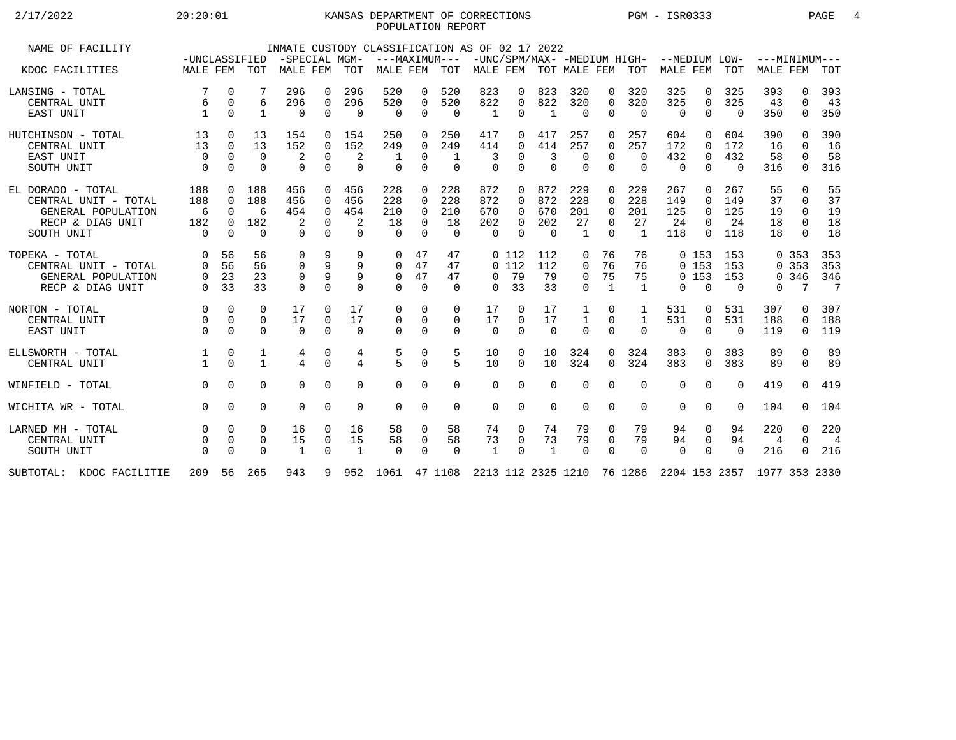## 2/17/2022 20:20:01 KANSAS DEPARTMENT OF CORRECTIONS PGM - ISR0333 PAGE 4 POPULATION REPORT

| NAME OF FACILITY                                                | -UNCLASSIFIED        |                                  |                         |                    |                                  |                     | INMATE CUSTODY CLASSIFICATION AS OF 02 17 2022<br>-SPECIAL MGM- ---MAXIMUM--- -UNC/SPM/MAX- -MEDIUM HIGH- --MEDIUM LOW- |                                  |                            |                      |                           |                    |                      |                                  |                      |                                        |                                  |                   | $---MINIMUM---$ |                                  |                       |
|-----------------------------------------------------------------|----------------------|----------------------------------|-------------------------|--------------------|----------------------------------|---------------------|-------------------------------------------------------------------------------------------------------------------------|----------------------------------|----------------------------|----------------------|---------------------------|--------------------|----------------------|----------------------------------|----------------------|----------------------------------------|----------------------------------|-------------------|-----------------|----------------------------------|-----------------------|
| KDOC FACILITIES                                                 | MALE FEM TOT         |                                  |                         | MALE FEM           |                                  | TOT                 | MALE FEM                                                                                                                |                                  | TOT                        |                      |                           |                    |                      |                                  |                      | MALE FEM TOT MALE FEM TOT MALE FEM TOT |                                  |                   | <b>MALE FEM</b> |                                  | TOT                   |
| LANSING - TOTAL<br>CENTRAL UNIT                                 | 6                    | $\Omega$<br>0                    | 6                       | 296<br>296         | $\Omega$<br>$\Omega$             | 296<br>296          | 520<br>520                                                                                                              | 0<br>$\mathbf 0$                 | 520<br>520                 | 823<br>822           | $\Omega$<br>$\mathbf 0$   | 823<br>822         | 320<br>320           | $\Omega$<br>0                    | 320<br>320           | 325<br>325                             | 0<br>$\mathbf 0$                 | 325<br>325        | 393<br>43       | 0<br>$\Omega$                    | 393<br>43             |
| EAST UNIT                                                       | $\mathbf{1}$         | $\Omega$                         | 1                       | $\Omega$           | $\Omega$                         | $\Omega$            | $\Omega$                                                                                                                | $\Omega$                         | $\Omega$                   | $\mathbf{1}$         | $\Omega$                  | 1                  | $\Omega$             | $\Omega$                         | $\Omega$             | $\Omega$                               | $\Omega$                         | $\Omega$          | 350             | $\Omega$                         | 350                   |
| HUTCHINSON - TOTAL<br>CENTRAL UNIT                              | 13<br>13             | $\Omega$<br>$\Omega$             | 13<br>13                | 154<br>152         | $\Omega$<br>$\Omega$             | 154<br>152          | 250<br>249                                                                                                              | $\Omega$<br>$\Omega$             | 250<br>249                 | 417<br>414           | 0<br>$\Omega$             | 417<br>414         | 257<br>257           | $\Omega$<br>$\Omega$             | 257<br>257           | 604<br>172                             | $\Omega$<br>$\Omega$             | 604<br>172        | 390<br>16       | <sup>0</sup><br>$\Omega$         | 390<br>16             |
| EAST UNIT<br>SOUTH UNIT                                         | $\Omega$<br>$\Omega$ | $\Omega$<br>$\Omega$             | $\Omega$<br>$\Omega$    | 2<br>$\Omega$      | $\Omega$<br>$\Omega$             | 2<br>$\Omega$       | $\Omega$                                                                                                                | $\Omega$<br>$\Omega$             | $\overline{1}$<br>$\Omega$ | 3<br>$\Omega$        | $\Omega$<br>$\Omega$      | 3<br>$\Omega$      | $\Omega$<br>$\Omega$ | $\Omega$<br>$\Omega$             | $\Omega$<br>$\Omega$ | 432<br>$\Omega$                        | $\Omega$<br>$\Omega$             | 432<br>$\Omega$   | 58<br>316       | $\Omega$<br>$\Omega$             | 58<br>316             |
| EL DORADO - TOTAL<br>CENTRAL UNIT - TOTAL<br>GENERAL POPULATION | 188<br>188<br>- 6    | $\Omega$<br>$\Omega$<br>$\Omega$ | 188<br>188<br>6         | 456<br>456<br>454  | $\Omega$<br>$\Omega$<br>$\Omega$ | 456<br>456<br>454   | 228<br>228<br>210                                                                                                       | $\Omega$<br>$\Omega$<br>$\Omega$ | 228<br>228<br>210          | 872<br>872<br>670    | $\Omega$<br>$\Omega$<br>0 | 872<br>872<br>670  | 229<br>228<br>201    | $\Omega$<br>$\Omega$<br>$\Omega$ | 229<br>228<br>201    | 267<br>149<br>125                      | $\Omega$<br>$\Omega$<br>$\Omega$ | 267<br>149<br>125 | 55<br>37<br>19  | $\Omega$<br>$\Omega$<br>$\Omega$ | 55<br>37<br>19        |
| RECP & DIAG UNIT<br>SOUTH UNIT                                  | 182<br>$\Omega$      | $\Omega$<br>$\Omega$             | 182<br>$\Omega$         | 2<br>$\Omega$      | $\Omega$<br>$\Omega$             | 2<br>$\Omega$       | 18<br>$\cap$                                                                                                            | $\Omega$<br>$\Omega$             | 18<br>$\Omega$             | 202<br>$\Omega$      | $\Omega$<br>$\cap$        | 202<br>$\bigcirc$  | 27<br>$\overline{1}$ | $\Omega$<br>$\Omega$             | 27<br>$\overline{1}$ | 24<br>118                              | $\Omega$<br>$\Omega$             | 24<br>118         | 18<br>18        | $\Omega$<br>$\cap$               | 18<br>18              |
| TOPEKA - TOTAL<br>CENTRAL UNIT - TOTAL                          | $\Omega$             | 56<br>56                         | 56<br>56                | 0<br>0             | 9<br>9                           | 9<br>9              | $\mathbf{0}$<br>$\Omega$                                                                                                | 47<br>47                         | 47<br>47                   |                      | 0 112<br>0112             | 112<br>112         | 0<br>0               | 76<br>76                         | 76<br>76             |                                        | 0, 153<br>0, 153                 | 153<br>153        |                 | 0.353<br>0, 353                  | 353<br>353            |
| GENERAL POPULATION<br>RECP & DIAG UNIT                          | $\Omega$<br>$\Omega$ | 23<br>33                         | 23<br>33                | 0<br>$\Omega$      | 9<br>$\Omega$                    | 9<br>$\Omega$       | $\Omega$<br>$\Omega$                                                                                                    | 47<br>$\Omega$                   | 47<br>$\Omega$             | $\Omega$<br>$\Omega$ | 79<br>33                  | 79<br>33           | 0<br>$\Omega$        | 75<br>$\mathbf{1}$               | 75<br>$\mathbf{1}$   | $\Omega$                               | 0, 153<br>$\Omega$               | 153<br>$\Omega$   | 0               | 0 346<br>7                       | 346<br>$\overline{7}$ |
| NORTON - TOTAL<br>CENTRAL UNIT                                  | $\Omega$<br>$\Omega$ | $\Omega$<br>$\mathbf 0$          | $\Omega$<br>$\mathbf 0$ | 17<br>17           | $\Omega$<br>0                    | 17<br>17            | $\Omega$<br>$\mathbf 0$                                                                                                 | $\Omega$<br>$\mathbf 0$          | $\Omega$<br>0              | 17<br>17             | $\Omega$<br>$\Omega$      | 17<br>17           | 1<br>1               | $\Omega$<br>0                    | $\mathbf{1}$         | 531<br>531                             | $\Omega$<br>$\mathbf 0$          | 531<br>531        | 307<br>188      | <sup>n</sup><br>0                | 307<br>188            |
| EAST UNIT                                                       | $\Omega$             | $\Omega$                         | $\Omega$                | $\Omega$           | $\Omega$                         | $\Omega$            | $\Omega$                                                                                                                | $\Omega$                         | 0                          | $\Omega$             | $\Omega$                  | $\Omega$           | $\Omega$             | $\Omega$                         | $\Omega$             | $\Omega$                               | $\overline{0}$                   | $\Omega$          | 119             | 0                                | 119                   |
| ELLSWORTH - TOTAL<br>CENTRAL UNIT                               |                      | 0<br>$\Omega$                    | 1<br>$\mathbf{1}$       | 4<br>4             | 0<br>$\Omega$                    | 4<br>$\overline{4}$ | 5<br>$\overline{5}$                                                                                                     | 0<br>$\Omega$                    | 5<br>5                     | 10<br>10             | $\Omega$<br>$\Omega$      | 10<br>10           | 324<br>324           | $\Omega$<br>$\Omega$             | 324<br>324           | 383<br>383                             | $\Omega$<br>$\Omega$             | 383<br>383        | 89<br>89        | $\mathbf{0}$<br>$\Omega$         | 89<br>89              |
| WINFIELD - TOTAL                                                | $\Omega$             | $\Omega$                         | $\Omega$                | $\Omega$           | 0                                | $\Omega$            | $\Omega$                                                                                                                | $\mathbf 0$                      | 0                          | $\Omega$             | 0                         | $\Omega$           | $\Omega$             | $\Omega$                         | $\Omega$             | $\mathbf 0$                            | $\mathbf 0$                      | $\Omega$          | 419             | $\Omega$                         | 419                   |
| WICHITA WR - TOTAL                                              | $\Omega$             | $\Omega$                         | $\Omega$                | $\Omega$           | $\Omega$                         | $\mathbf 0$         | $\Omega$                                                                                                                | $\mathbf 0$                      | $\mathbf 0$                | $\mathbf 0$          | $\Omega$                  | $\mathbf 0$        | $\Omega$             | $\mathbf 0$                      | $\Omega$             | $\mathbf 0$                            | $\mathbf 0$                      | $\Omega$          | 104             | $\Omega$                         | 104                   |
| LARNED MH - TOTAL                                               |                      | 0                                | 0                       | 16                 | 0                                | 16                  | 58                                                                                                                      | 0                                | 58                         | 74                   | 0                         | 74                 | 79                   | 0                                | 79                   | 94                                     | 0                                | 94                | 220             | $\Omega$                         | 220                   |
| CENTRAL UNIT<br>SOUTH UNIT                                      |                      | $\Omega$<br>$\Omega$             | $\Omega$<br>$\Omega$    | 15<br>$\mathbf{1}$ | 0<br>$\Omega$                    | 15<br>$\mathbf{1}$  | 58<br>$\Omega$                                                                                                          | 0<br>$\Omega$                    | 58<br>$\Omega$             | 73<br>$\mathbf{1}$   | $\Omega$<br>$\Omega$      | 73<br>$\mathbf{1}$ | 79<br>$\Omega$       | $\Omega$<br>$\Omega$             | 79<br>$\Omega$       | 94<br>$\Omega$                         | $\overline{0}$<br>$\Omega$       | 94<br>$\Omega$    | 4<br>216        | $\Omega$<br>$\Omega$             | $\overline{4}$<br>216 |
| SUBTOTAL: KDOC FACILITIE                                        |                      |                                  | 209 56 265              | 943                | 9                                |                     | 952 1061 47 1108 2213 112 2325 1210 76 1286 2204 153 2357 1977 353 2330                                                 |                                  |                            |                      |                           |                    |                      |                                  |                      |                                        |                                  |                   |                 |                                  |                       |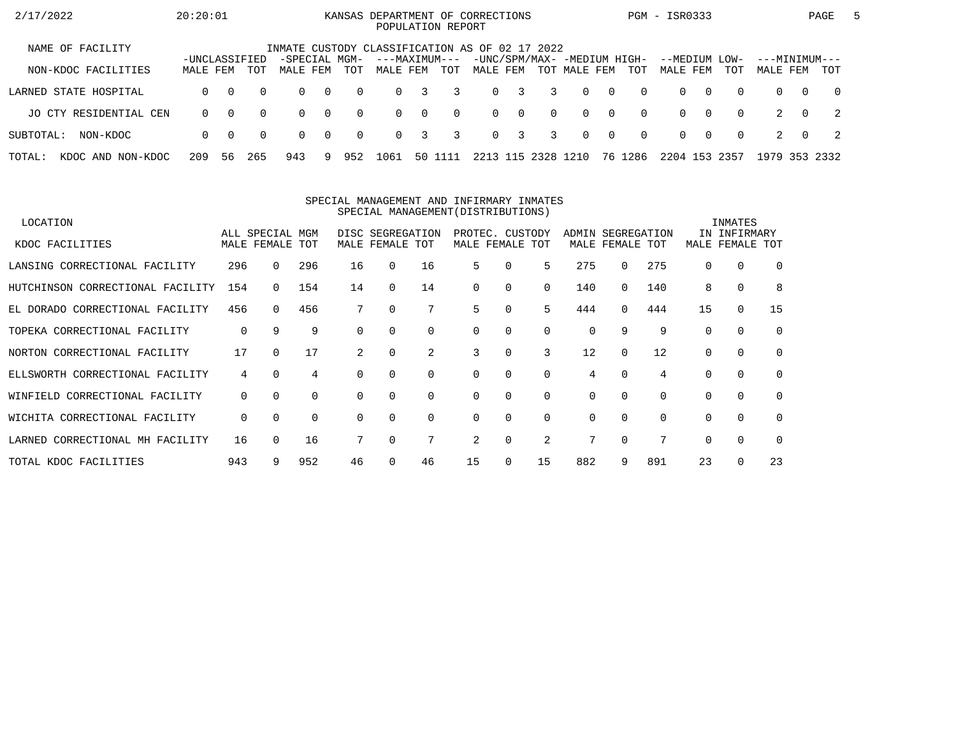| 2/17/2022                   | 20:20:01                  |          |          |                                                |            |          | KANSAS DEPARTMENT OF CORRECTIONS<br>POPULATION REPORT |          |          |                |                         |               |                                             |                |          | PGM - ISR0333             |          |          |                           |          | PAGE | 5 |
|-----------------------------|---------------------------|----------|----------|------------------------------------------------|------------|----------|-------------------------------------------------------|----------|----------|----------------|-------------------------|---------------|---------------------------------------------|----------------|----------|---------------------------|----------|----------|---------------------------|----------|------|---|
| NAME OF FACILITY            |                           |          |          | INMATE CUSTODY CLASSIFICATION AS OF 02 17 2022 |            |          |                                                       |          |          |                |                         |               |                                             |                |          |                           |          |          |                           |          |      |   |
| NON-KDOC FACILITIES         | -UNCLASSIFIED<br>MALE FEM |          | TOT      | -SPECIAL MGM-<br>MALE FEM                      |            | TOT      | ---MAXIMUM---<br>MALE FEM                             |          | TOT      | MALE FEM       |                         |               | -UNC/SPM/MAX- -MEDIUM HIGH-<br>TOT MALE FEM |                | TOT      | --MEDIUM LOW-<br>MALE FEM |          | TOT      | ---MINIMUM---<br>MALE FEM |          | TOT  |   |
| LARNED STATE HOSPITAL       | $\Omega$                  | $\Omega$ | $\Omega$ | $\Omega$                                       | $\bigcap$  | $\Omega$ | $\Omega$                                              | 3        | 3        | $\Omega$       | $\overline{\mathbf{3}}$ | 3             | $\Omega$                                    | $\bigcap$      | $\Omega$ | $\Omega$                  | $\Omega$ | $\Omega$ | $\cap$                    | $\Omega$ | . റ  |   |
| JO CTY RESIDENTIAL CEN      | $\Omega$                  | $\Omega$ | $\Omega$ | $\Omega$                                       | $\bigcirc$ | $\Omega$ | $\Omega$                                              | $\Omega$ | $\Omega$ |                | $0 \quad 0$             | $\Omega$      | $\Omega$                                    | $\overline{0}$ | $\Omega$ | $\Omega$                  | $\Omega$ | $\Omega$ |                           | . O      | 2    |   |
| SUBTOTAL:<br>NON-KDOC       | $\Omega$                  | - 0      | $\Omega$ | $\Omega$                                       | $\bigcirc$ | $\Omega$ | $\Omega$                                              | 3        | 3        | $\overline{0}$ | $\overline{\mathbf{3}}$ | 3             | $\Omega$                                    | $\overline{0}$ | $\Omega$ | $\Omega$                  | റ        | $\Omega$ | 2                         | $\Omega$ | - 2  |   |
| KDOC AND NON-KDOC<br>TOTAL: | 209                       | 56       | 265      | 943                                            | 9          | 952      | 1061                                                  |          | 50 1111  |                |                         | 2213 115 2328 | 1210                                        |                | 76 1286  | 2204 153 2357             |          |          | 1979 353 2332             |          |      |   |

#### SPECIAL MANAGEMENT AND INFIRMARY INMATESSPECIAL MANAGEMENT(DISTRIBUTIONS)

| LOCATION                         |             |                 |          |          |                  |             |    |                 |             |       |             |          |          | INMATES      |             |
|----------------------------------|-------------|-----------------|----------|----------|------------------|-------------|----|-----------------|-------------|-------|-------------|----------|----------|--------------|-------------|
|                                  |             | ALL SPECIAL MGM |          |          | DISC SEGREGATION |             |    | PROTEC. CUSTODY |             | ADMIN | SEGREGATION |          |          | IN INFIRMARY |             |
| KDOC FACILITIES                  |             | MALE FEMALE TOT |          |          | MALE FEMALE TOT  |             |    | MALE FEMALE TOT |             |       | MALE FEMALE | TOT      | MALE     | FEMALE       | TOT         |
| LANSING CORRECTIONAL FACILITY    | 296         | 0               | 296      | 16       | $\Omega$         | 16          | 5  | 0               | 5           | 275   | 0           | 275      | $\Omega$ | 0            | $\Omega$    |
| HUTCHINSON CORRECTIONAL FACILITY | 154         | 0               | 154      | 14       | $\Omega$         | 14          | 0  | 0               | 0           | 140   | $\Omega$    | 140      | 8        | $\mathbf 0$  | 8           |
| EL DORADO CORRECTIONAL FACILITY  | 456         | 0               | 456      |          | $\Omega$         | 7           | 5  | $\Omega$        | 5           | 444   | $\Omega$    | 444      | 15       | $\mathbf 0$  | 15          |
| TOPEKA CORRECTIONAL FACILITY     | 0           | 9               | 9        | $\Omega$ |                  | $\Omega$    | 0  | $\Omega$        | $\Omega$    | 0     | 9           | 9        | $\Omega$ | $\Omega$     | $\mathbf 0$ |
| NORTON CORRECTIONAL FACILITY     | 17          | $\Omega$        | 17       | 2        | $\Omega$         | 2           | 3  | $\Omega$        | 3           | 12    | $\Omega$    | 12       | $\Omega$ | 0            | $\Omega$    |
| ELLSWORTH CORRECTIONAL FACILITY  | 4           | $\Omega$        | 4        | $\Omega$ |                  | $\Omega$    | 0  | $\Omega$        | $\Omega$    | 4     | 0           | 4        |          | $\mathbf 0$  | $\Omega$    |
| WINFIELD CORRECTIONAL FACILITY   | $\mathbf 0$ | $\Omega$        | $\Omega$ | $\Omega$ | $\Omega$         | $\mathbf 0$ | 0  | 0               | $\mathbf 0$ | 0     | $\Omega$    | $\Omega$ | $\Omega$ | $\mathbf 0$  | $\Omega$    |
| WICHITA CORRECTIONAL FACILITY    | $\mathbf 0$ | $\Omega$        | $\Omega$ | $\Omega$ |                  | $\Omega$    | 0  | $\Omega$        | $\Omega$    | 0     | $\Omega$    | $\Omega$ | $\Omega$ | $\Omega$     | $\Omega$    |
| LARNED CORRECTIONAL MH FACILITY  | 16          | 0               | 16       |          |                  | 7           | 2  | $\Omega$        | 2           | 7     |             | 7        |          | $\mathbf 0$  | $\Omega$    |
| TOTAL KDOC FACILITIES            | 943         | 9               | 952      | 46       |                  | 46          | 15 | 0               | 15          | 882   | 9           | 891      | 23       | $\Omega$     | 23          |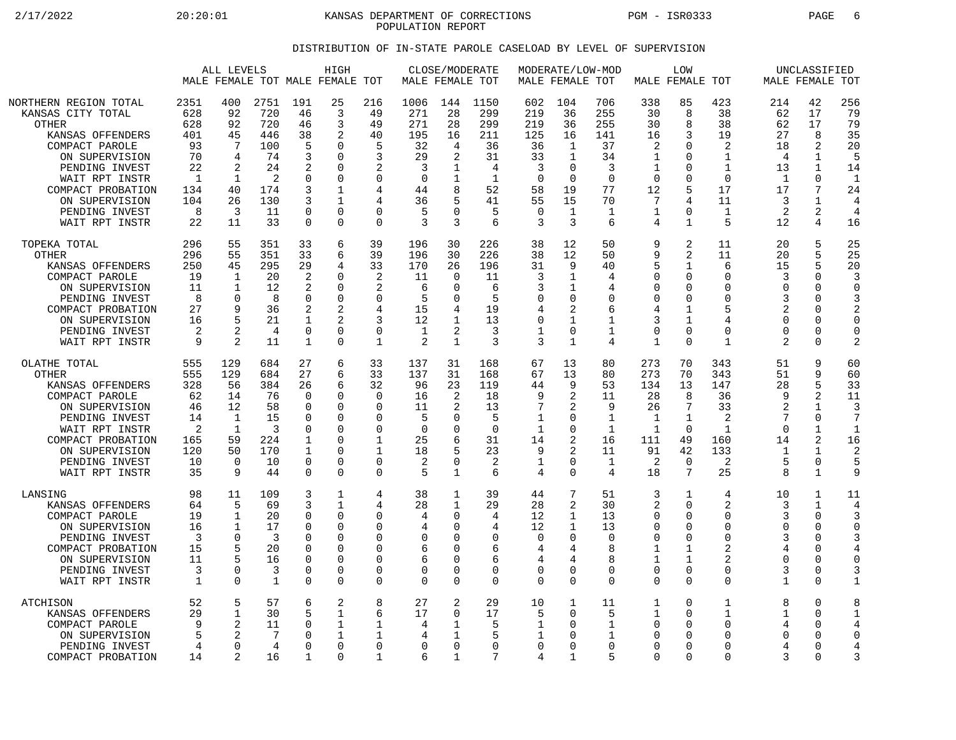2/17/2022 20:20:01 KANSAS DEPARTMENT OF CORRECTIONS PGM - ISR0333 PAGE 6 POPULATION REPORT

## DISTRIBUTION OF IN-STATE PAROLE CASELOAD BY LEVEL OF SUPERVISION

|                                                                                                                                                                                                                                   |                                                                                        | ALL LEVELS                                                                                     |                                                                             |                                                                                              | HIGH<br>MALE FEMALE TOT MALE FEMALE TOT                                                              |                                                                                                    |                                                                                 | CLOSE/MODERATE<br>MALE FEMALE TOT                                            |                                                                                  |                                                                                             | MODERATE/LOW-MOD<br>MALE FEMALE TOT                                              |                                                                                 |                                                                                       | LOW<br>MALE FEMALE TOT                                                                                      |                                                                                                       |                                                                                     | UNCLASSIFIED<br>MALE FEMALE TOT                                                                |                                                                                        |
|-----------------------------------------------------------------------------------------------------------------------------------------------------------------------------------------------------------------------------------|----------------------------------------------------------------------------------------|------------------------------------------------------------------------------------------------|-----------------------------------------------------------------------------|----------------------------------------------------------------------------------------------|------------------------------------------------------------------------------------------------------|----------------------------------------------------------------------------------------------------|---------------------------------------------------------------------------------|------------------------------------------------------------------------------|----------------------------------------------------------------------------------|---------------------------------------------------------------------------------------------|----------------------------------------------------------------------------------|---------------------------------------------------------------------------------|---------------------------------------------------------------------------------------|-------------------------------------------------------------------------------------------------------------|-------------------------------------------------------------------------------------------------------|-------------------------------------------------------------------------------------|------------------------------------------------------------------------------------------------|----------------------------------------------------------------------------------------|
| NORTHERN REGION TOTAL<br>KANSAS CITY TOTAL<br><b>OTHER</b><br>KANSAS OFFENDERS<br>COMPACT PAROLE<br>ON SUPERVISION<br>PENDING INVEST<br>WAIT RPT INSTR<br>COMPACT PROBATION<br>ON SUPERVISION<br>PENDING INVEST<br>WAIT RPT INSTR | 2351<br>628<br>628<br>401<br>93<br>70<br>22<br>$\overline{1}$<br>134<br>104<br>8<br>22 | 400<br>92<br>92<br>45<br>7<br>4<br>2<br>1<br>40<br>26<br>3<br>11                               | 2751<br>720<br>720<br>446<br>100<br>74<br>24<br>2<br>174<br>130<br>11<br>33 | 191<br>46<br>46<br>38<br>5<br>3<br>2<br>0<br>3<br>3<br>$\Omega$<br>$\mathbf 0$               | 25<br>3<br>3<br>2<br>$\Omega$<br>$\Omega$<br>$\Omega$<br>$\Omega$<br>1<br>1<br>$\Omega$<br>$\Omega$  | 216<br>49<br>49<br>40<br>5<br>3<br>$\overline{2}$<br>$\mathbf 0$<br>4<br>4<br>$\Omega$<br>$\Omega$ | 1006<br>271<br>271<br>195<br>32<br>29<br>3<br>$\mathbf 0$<br>44<br>36<br>5<br>3 | 144<br>28<br>28<br>16<br>4<br>2<br>1<br>8<br>U<br>3                          | 1150<br>299<br>299<br>211<br>36<br>31<br>4<br>$\mathbf{1}$<br>52<br>41<br>5<br>6 | 602<br>219<br>219<br>125<br>36<br>33<br>3<br>$\overline{0}$<br>58<br>55<br>$\mathbf 0$<br>3 | 104<br>36<br>36<br>16<br>1<br>1<br>$\Omega$<br>$\mathbf 0$<br>19<br>15<br>1<br>3 | 706<br>255<br>255<br>141<br>37<br>34<br>3<br>$\Omega$<br>77<br>70<br>1<br>6     | 338<br>30<br>30<br>16<br>2<br>1<br>1<br>$\Omega$<br>12<br>7<br>1<br>4                 | 85<br>8<br>8<br>3<br>$\Omega$<br>$\Omega$<br>$\Omega$<br>$\Omega$<br>5<br>4<br>$\Omega$<br>$\mathbf{1}$     | 423<br>38<br>38<br>19<br>2<br>1<br>$\mathbf{1}$<br>$\Omega$<br>17<br>11<br>1<br>5                     | 214<br>62<br>62<br>27<br>18<br>4<br>13<br>$\mathbf{1}$<br>17<br>3<br>2<br>12        | 42<br>17<br>17<br>8<br>2<br>1<br>1<br>$\Omega$<br>7<br>1<br>2<br>4                             | 256<br>79<br>79<br>35<br>20<br>5<br>14<br>$\mathbf{1}$<br>24<br>4<br>4<br>16           |
| TOPEKA TOTAL<br><b>OTHER</b><br>KANSAS OFFENDERS<br>COMPACT PAROLE<br>ON SUPERVISION<br>PENDING INVEST<br>COMPACT PROBATION<br>ON SUPERVISION<br>PENDING INVEST<br>WAIT RPT INSTR                                                 | 296<br>296<br>250<br>19<br>11<br>8<br>27<br>16<br>2<br>9                               | 55<br>55<br>45<br>$\mathbf{1}$<br>$\mathbf{1}$<br>$\mathbf 0$<br>9<br>5<br>$\mathfrak{D}$<br>2 | 351<br>351<br>295<br>20<br>12<br>8<br>36<br>21<br>4<br>11                   | 33<br>33<br>29<br>$\overline{2}$<br>2<br>$\mathbf 0$<br>2<br>1<br>$\mathbf 0$<br>1           | 6<br>6<br>4<br>$\Omega$<br>$\Omega$<br>$\Omega$<br>2<br>$\overline{a}$<br>$\mathbf 0$<br>$\Omega$    | 39<br>39<br>33<br>$\overline{2}$<br>2<br>$\mathbf 0$<br>4<br>3<br>$\mathbf 0$<br>$\mathbf 1$       | 196<br>196<br>170<br>11<br>6<br>5<br>15<br>12<br>1<br>2                         | 30<br>30<br>26<br>$\Omega$<br>∩<br>$\Omega$<br>1<br>2<br>$\mathbf 1$         | 226<br>226<br>196<br>11<br>6<br>5<br>19<br>13<br>3<br>3                          | 38<br>38<br>31<br>3<br>3<br>$\mathbf 0$<br>4<br>$\mathbf 0$<br>1<br>3                       | 12<br>12<br>9<br>1<br>1<br>0<br>2<br>1<br>0<br>$\mathbf{1}$                      | 50<br>50<br>40<br>4<br>4<br>$\mathbf 0$<br>6<br>$\mathbf 1$<br>$\mathbf 1$<br>4 | 9<br>9<br>5<br>$\Omega$<br>∩<br>0<br>4<br>3<br>$\mathbf 0$<br>$\mathbf{1}$            | 2<br>2<br>1<br>$\mathbf 0$<br>$\Omega$<br>0<br>$\mathbf{1}$<br>1<br>$\mathbf 0$<br>$\Omega$                 | 11<br>11<br>6<br>$\Omega$<br>$\Omega$<br>$\mathbf 0$<br>5<br>4<br>$\Omega$<br>1                       | 20<br>20<br>15<br>3<br>$\Omega$<br>3<br>2<br>$\Omega$<br>$\Omega$<br>$\overline{2}$ | 5<br>5<br>5<br>$\Omega$<br>$\Omega$<br>$\Omega$<br>$\Omega$<br>$\Omega$<br>0<br>0              | 25<br>25<br>20<br>3<br>$\Omega$<br>3<br>2<br>$\Omega$<br>$\mathbf 0$<br>$\overline{2}$ |
| OLATHE TOTAL<br><b>OTHER</b><br>KANSAS OFFENDERS<br>COMPACT PAROLE<br>ON SUPERVISION<br>PENDING INVEST<br>WAIT RPT INSTR<br>COMPACT PROBATION<br>ON SUPERVISION<br>PENDING INVEST<br>WAIT RPT INSTR                               | 555<br>555<br>328<br>62<br>46<br>14<br>2<br>165<br>120<br>10<br>35                     | 129<br>129<br>56<br>14<br>12<br>$\mathbf 1$<br>1<br>59<br>50<br>$\Omega$<br>q                  | 684<br>684<br>384<br>76<br>58<br>15<br>3<br>224<br>170<br>10<br>44          | 27<br>27<br>26<br>$\Omega$<br>0<br>$\Omega$<br>$\Omega$<br>1<br>1<br>$\mathbf 0$<br>$\Omega$ | 6<br>6<br>6<br>$\Omega$<br>0<br>$\Omega$<br>$\Omega$<br>$\Omega$<br>$\Omega$<br>$\Omega$<br>$\Omega$ | 33<br>33<br>32<br>$\Omega$<br>0<br>$\Omega$<br>$\Omega$<br>1<br>1<br>$\mathbf 0$<br>$\Omega$       | 137<br>137<br>96<br>16<br>11<br>5<br>$\Omega$<br>25<br>18<br>2<br>5             | 31<br>31<br>23<br>2<br>2<br>O<br>U<br>$\Omega$<br>$\mathbf{1}$               | 168<br>168<br>119<br>18<br>13<br>5<br>$\Omega$<br>31<br>23<br>2<br>6             | 67<br>67<br>44<br>9<br>7<br>1<br>1<br>14<br>9<br>1<br>4                                     | 13<br>13<br>9<br>2<br>2<br>0<br>0<br>2<br>2<br>0<br>0                            | 80<br>80<br>53<br>11<br>9<br>$\mathbf 1$<br>1<br>16<br>11<br>1<br>4             | 273<br>273<br>134<br>28<br>26<br>$\mathbf{1}$<br>$\mathbf{1}$<br>111<br>91<br>2<br>18 | 70<br>70<br>13<br>8<br>7<br>$\mathbf 1$<br>$\Omega$<br>49<br>42<br>$\mathbf 0$<br>7                         | 343<br>343<br>147<br>36<br>33<br>$\overline{2}$<br>$\mathbf{1}$<br>160<br>133<br>2<br>25              | 51<br>51<br>28<br>9<br>2<br>$\cap$<br>14<br>-1<br>5<br>$\mathsf{R}$                 | 9<br>9<br>5<br>2<br>$\mathbf 1$<br>0<br>1<br>$\overline{2}$<br>1<br>0<br>$\mathbf{1}$          | 60<br>60<br>33<br>11<br>3<br>$\mathbf{1}$<br>16<br>$\overline{2}$<br>5<br>9            |
| LANSING<br>KANSAS OFFENDERS<br>COMPACT PAROLE<br>ON SUPERVISION<br>PENDING INVEST<br>COMPACT PROBATION<br>ON SUPERVISION<br>PENDING INVEST<br>WAIT RPT INSTR                                                                      | 98<br>64<br>19<br>16<br>3<br>15<br>11<br>3<br>$\mathbf{1}$                             | 11<br>5<br>1<br>1<br>$\Omega$<br>5<br>$\Omega$<br>$\Omega$                                     | 109<br>69<br>20<br>17<br>3<br>20<br>16<br>3<br>$\mathbf{1}$                 | 3<br>3<br>0<br>0<br>$\Omega$<br>$\Omega$<br>$\mathbf 0$<br>$\Omega$<br>$\mathbf 0$           | 1<br>$\mathbf{1}$<br>$\Omega$<br>$\Omega$<br>$\Omega$<br>$\Omega$<br>$\Omega$<br>0<br>$\mathbf 0$    | 4<br>4<br>0<br>$\mathbf 0$<br>$\Omega$<br>0<br>$\mathbf 0$<br>$\mathbf 0$<br>$\mathbf 0$           | 38<br>28<br>4<br>4<br>$\Omega$<br>6<br>6<br>0<br>0                              | 1<br>1<br>O<br>$\Omega$<br>O<br>$\Omega$<br>$\Omega$<br>$\Omega$<br>$\Omega$ | 39<br>29<br>4<br>4<br>$\Omega$<br>6<br>6<br>0<br>$\Omega$                        | 44<br>28<br>12<br>12<br>$\Omega$<br>4<br>$\overline{4}$<br>$\mathbf 0$<br>$\mathbf 0$       | 7<br>2<br>1<br>1<br>0<br>4<br>4<br>0<br>0                                        | 51<br>30<br>13<br>13<br>$\Omega$<br>8<br>$\mathsf{R}$<br>$\Omega$<br>$\Omega$   | 3<br>2<br>0<br>$\Omega$<br>$\Omega$<br>1<br>1<br>$\Omega$<br>$\Omega$                 | 1<br>$\Omega$<br>$\Omega$<br>$\mathbf 0$<br>$\Omega$<br>$\mathbf{1}$<br>$\mathbf 1$<br>$\Omega$<br>$\Omega$ | 4<br>$\overline{2}$<br>0<br>$\mathbf 0$<br>$\Omega$<br>2<br>$\overline{2}$<br>$\Omega$<br>$\mathbf 0$ | 10<br>3<br>3<br>$\Omega$<br>3<br>4<br>$\Omega$<br>3<br>$\mathbf 1$                  | 1<br>$\mathbf{1}$<br>0<br>$\Omega$<br>$\Omega$<br>$\Omega$<br>$\Omega$<br>$\Omega$<br>$\Omega$ | 11<br>4<br>3<br>$\Omega$<br>4<br>$\mathbf 0$<br>3<br>$\mathbf{1}$                      |
| ATCHISON<br>KANSAS OFFENDERS<br>COMPACT PAROLE<br>ON SUPERVISION<br>PENDING INVEST<br>COMPACT PROBATION                                                                                                                           | 52<br>29<br>9<br>5<br>4<br>14                                                          | 5<br>$\mathbf 1$<br>2<br>0<br>2                                                                | 57<br>30<br>11<br>7<br>4<br>16                                              | 6<br>5<br>0<br>$\Omega$<br>$\cap$<br>1                                                       | 2<br>1<br>1<br>1<br>$\mathbf 0$<br>$\Omega$                                                          | 8<br>6<br>1<br>1<br>$\mathbf 0$<br>1                                                               | 27<br>17<br>4<br>4<br>0<br>6                                                    | 2<br>$\Omega$<br>1<br>0<br>1                                                 | 29<br>17<br>5<br>5<br>$\mathbf 0$<br>7                                           | 10<br>5<br>1<br>1<br>$\mathbf 0$<br>4                                                       | 1<br>$\Omega$<br>0<br>0<br>0<br>1                                                | 11<br>5<br>1<br>1<br>$\mathbf 0$<br>5                                           | 1<br>1<br>$\Omega$<br>$\Omega$<br>0<br>$\Omega$                                       | $\mathbf 0$<br>$\Omega$<br>$\Omega$<br>$\Omega$<br>$\mathbf 0$<br>$\Omega$                                  | 1<br>1<br>$\mathbf 0$<br>$\Omega$<br>$\mathbf 0$<br>$\Omega$                                          | 8<br>1<br>4<br>$\Omega$<br>4<br>3                                                   | $\Omega$<br>$\Omega$<br>0<br>O<br>0<br>$\Omega$                                                | 8<br>$\mathbf{1}$<br>4<br>$\Omega$<br>4<br>3                                           |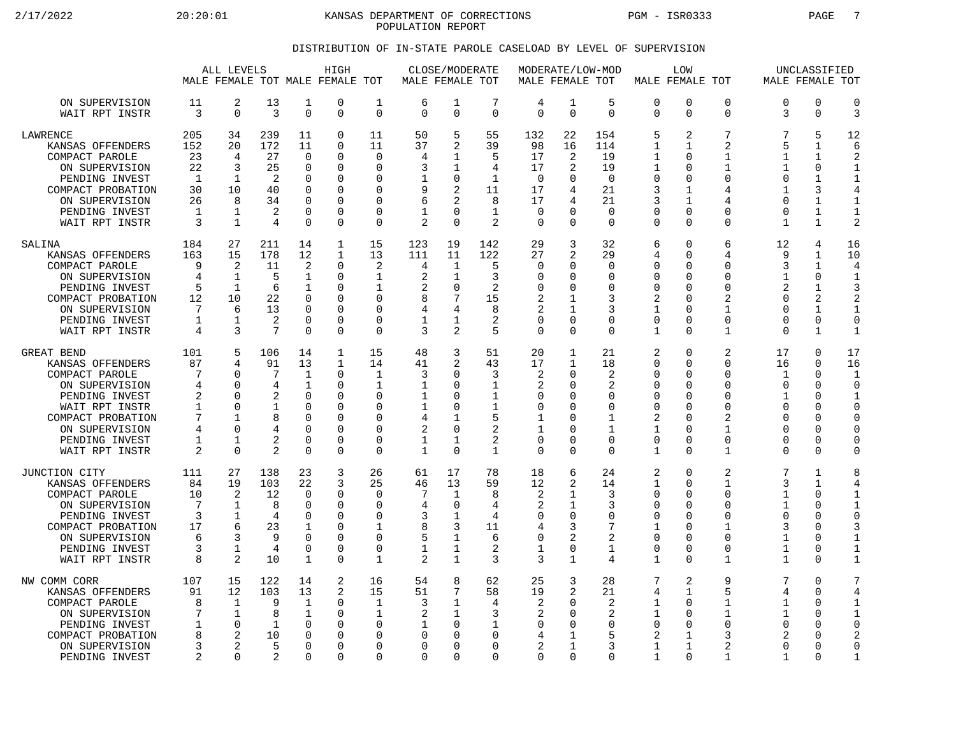2/17/2022 20:20:01 KANSAS DEPARTMENT OF CORRECTIONS PGM - ISR0333 PAGE 7 POPULATION REPORT

## DISTRIBUTION OF IN-STATE PAROLE CASELOAD BY LEVEL OF SUPERVISION

|                                                                                                                                                                                          |                                                    | ALL LEVELS                                                                                         |                                                               |                                                                                               | HIGH<br>MALE FEMALE TOT MALE FEMALE TOT                                              |                                                                                               | MALE FEMALE TOT                                        | CLOSE/MODERATE                                                                                         |                                                                                   |                                                                                | MODERATE/LOW-MOD<br>MALE FEMALE TOT                              |                                                                           |                                                                                              | LOW<br>MALE FEMALE TOT                                                                                 |                                                                                                |                                                                                     | UNCLASSIFIED<br>MALE FEMALE TOT                                                          |                                                                                                          |
|------------------------------------------------------------------------------------------------------------------------------------------------------------------------------------------|----------------------------------------------------|----------------------------------------------------------------------------------------------------|---------------------------------------------------------------|-----------------------------------------------------------------------------------------------|--------------------------------------------------------------------------------------|-----------------------------------------------------------------------------------------------|--------------------------------------------------------|--------------------------------------------------------------------------------------------------------|-----------------------------------------------------------------------------------|--------------------------------------------------------------------------------|------------------------------------------------------------------|---------------------------------------------------------------------------|----------------------------------------------------------------------------------------------|--------------------------------------------------------------------------------------------------------|------------------------------------------------------------------------------------------------|-------------------------------------------------------------------------------------|------------------------------------------------------------------------------------------|----------------------------------------------------------------------------------------------------------|
| ON SUPERVISION<br>WAIT RPT INSTR                                                                                                                                                         | 11<br>3                                            | 2<br>$\mathbf 0$                                                                                   | 13<br>3                                                       | 1<br>$\mathbf 0$                                                                              | 0<br>0                                                                               | 1<br>$\mathbf 0$                                                                              | 6<br>$\Omega$                                          | 1<br>$\mathbf 0$                                                                                       | 7<br>$\Omega$                                                                     | 4<br>$\Omega$                                                                  | 1<br>$\mathbf 0$                                                 | 5<br>$\Omega$                                                             | $\mathbf 0$<br>$\Omega$                                                                      | $\mathbf 0$<br>$\Omega$                                                                                | 0<br>0                                                                                         | $\Omega$<br>3                                                                       | $\mathbf 0$<br>$\mathbf 0$                                                               | $\mathbf 0$<br>3                                                                                         |
| <b>LAWRENCE</b><br>KANSAS OFFENDERS<br>COMPACT PAROLE<br>ON SUPERVISION<br>PENDING INVEST<br>COMPACT PROBATION<br>ON SUPERVISION<br>PENDING INVEST<br>WAIT RPT INSTR                     | 205<br>152<br>23<br>22<br>1<br>30<br>26<br>1<br>3  | 34<br>20<br>4<br>3<br>$\mathbf 1$<br>10<br>8<br>1<br>$\mathbf{1}$                                  | 239<br>172<br>27<br>25<br>2<br>40<br>34<br>2<br>4             | 11<br>11<br>$\mathbf 0$<br>$\Omega$<br>0<br>$\Omega$<br>$\Omega$<br>$\mathbf 0$<br>$\Omega$   | 0<br>0<br>0<br>0<br>$\Omega$<br>$\Omega$<br>0<br>0<br>0                              | 11<br>11<br>$\mathbf 0$<br>$\Omega$<br>∩<br>$\Omega$<br>$\Omega$<br>$\Omega$<br>$\Omega$      | 50<br>37<br>4<br>3<br>9<br>6<br>$\overline{2}$         | 5<br>2<br>1<br>1<br>0<br>$\overline{2}$<br>2<br>$\Omega$<br>$\Omega$                                   | 55<br>39<br>5<br>4<br>$\mathbf{1}$<br>11<br>8<br>$\mathbf 1$<br>2                 | 132<br>98<br>17<br>17<br>$\overline{0}$<br>17<br>17<br>$\mathbf 0$<br>$\Omega$ | 22<br>16<br>2<br>2<br>U<br>4<br>4<br>$\Omega$<br>$\Omega$        | 154<br>114<br>19<br>19<br>$\mathbf 0$<br>21<br>21<br>$\Omega$<br>$\Omega$ | 5<br>1<br>$\mathbf{1}$<br>1<br>0<br>3<br>3<br>0<br>$\Omega$                                  | $\overline{2}$<br>1<br>$\Omega$<br>$\Omega$<br>∩<br>$\mathbf 1$<br>1<br>$\Omega$<br>$\Omega$           | 7<br>2<br>$\mathbf{1}$<br>1<br>$\Omega$<br>4<br>4<br>$\Omega$<br>0                             | 7<br>5<br>$\mathbf{1}$<br>1<br>$\Omega$<br>1<br>$\Omega$<br>$\Omega$<br>1           | 5<br>1<br>$\mathbf{1}$<br>0<br>1<br>3<br>1<br>$\mathbf{1}$<br>$\mathbf{1}$               | 12<br>6<br>$\overline{2}$<br>1<br>$\mathbf{1}$<br>4<br>1<br>$\mathbf 1$<br>$\overline{2}$                |
| SALINA<br>KANSAS OFFENDERS<br>COMPACT PAROLE<br>ON SUPERVISION<br>PENDING INVEST<br>COMPACT PROBATION<br>ON SUPERVISION<br>PENDING INVEST<br>WAIT RPT INSTR                              | 184<br>163<br>9<br>4<br>5<br>12<br>7<br>1<br>4     | 27<br>15<br>2<br>$\mathbf{1}$<br>$\mathbf 1$<br>10<br>6<br>1<br>3                                  | 211<br>178<br>11<br>5<br>6<br>22<br>13<br>$\overline{2}$<br>7 | 14<br>12<br>2<br>$\mathbf{1}$<br>$\mathbf 1$<br>$\Omega$<br>$\mathbf 0$<br>0<br>$\Omega$      | 1<br>$\mathbf 1$<br>0<br>0<br>0<br>0<br>0<br>0<br>0                                  | 15<br>13<br>2<br>1<br>1<br>$\Omega$<br>$\Omega$<br>0<br>$\Omega$                              | 123<br>111<br>4<br>2<br>2<br>8<br>4<br>1<br>3          | 19<br>11<br>1<br>1<br>$\mathbf 0$<br>7<br>4<br>1<br>2                                                  | 142<br>122<br>5<br>3<br>2<br>15<br>8<br>2<br>5                                    | 29<br>27<br>$\mathbf 0$<br>$\Omega$<br>$\mathbf 0$<br>2<br>2<br>0<br>$\Omega$  | 3<br>2<br>O<br>O<br>$\Omega$<br>1<br>1<br>$\Omega$<br>$\Omega$   | 32<br>29<br>0<br>$\Omega$<br>0<br>3<br>3<br>0<br>$\Omega$                 | 6<br>4<br>0<br>$\Omega$<br>$\mathbf 0$<br>2<br>$\mathbf{1}$<br>0<br>$\mathbf{1}$             | $\Omega$<br>∩<br>$\Omega$<br>$\Omega$<br>$\Omega$<br>$\Omega$<br>∩<br>0<br>$\Omega$                    | 6<br>4<br>0<br>$\Omega$<br>0<br>$\mathfrak{D}$<br>1<br>0<br>$\mathbf{1}$                       | 12<br>9<br>3<br>1<br>$\overline{2}$<br>$\Omega$<br>$\Omega$<br>$\Omega$<br>$\Omega$ | 4<br>1<br>1<br>$\Omega$<br>$\mathbf{1}$<br>2<br>$\mathbf{1}$<br>0<br>$\mathbf{1}$        | 16<br>10<br>4<br>$\mathbf{1}$<br>3<br>$\overline{2}$<br>$\mathbf{1}$<br>0<br>$\mathbf{1}$                |
| <b>GREAT BEND</b><br>KANSAS OFFENDERS<br>COMPACT PAROLE<br>ON SUPERVISION<br>PENDING INVEST<br>WAIT RPT INSTR<br>COMPACT PROBATION<br>ON SUPERVISION<br>PENDING INVEST<br>WAIT RPT INSTR | 101<br>87<br>7<br>4<br>1<br>7<br>4<br>1<br>2       | 5<br>4<br>$\Omega$<br>$\Omega$<br>$\Omega$<br>$\Omega$<br>1<br>$\Omega$<br>$\mathbf 1$<br>$\Omega$ | 106<br>91<br>7<br>4<br>2<br>1<br>8<br>2<br>2                  | 14<br>13<br>1<br>1<br>$\Omega$<br>$\Omega$<br>$\Omega$<br>$\Omega$<br>$\mathbf 0$<br>$\Omega$ | 1<br>$\mathbf 1$<br>0<br>0<br>$\Omega$<br>$\Omega$<br>0<br>$\Omega$<br>$\Omega$<br>0 | 15<br>14<br>1<br>1<br>$\Omega$<br>$\Omega$<br>$\Omega$<br>$\Omega$<br>$\mathbf 0$<br>$\Omega$ | 48<br>41<br>3<br>1<br>-1<br>1<br>4<br>2<br>1<br>1      | 3<br>2<br>$\Omega$<br>$\Omega$<br>$\Omega$<br>$\Omega$<br>1<br>$\Omega$<br>$\mathbf{1}$<br>$\Omega$    | 51<br>43<br>3<br>$\mathbf{1}$<br>1<br>$\mathbf{1}$<br>5<br>2<br>2<br>$\mathbf{1}$ | 20<br>$17$<br>2<br>2<br>0<br>0<br>1<br>1<br>$\mathbf 0$<br>$\mathbf 0$         | 1<br>$\mathbf{1}$<br>O<br>U<br>U<br>O<br>O<br>U<br>0<br>$\Omega$ | 21<br>18<br>2<br>2<br>$\Omega$<br>$\Omega$<br>1<br>1<br>0<br>$\Omega$     | 2<br>0<br>0<br>0<br>0<br>$\Omega$<br>2<br>1<br>$\mathbf 0$<br>1                              | $\Omega$<br>$\Omega$<br>$\Omega$<br>∩<br>∩<br>$\Omega$<br>$\Omega$<br>$\Omega$<br>$\Omega$<br>$\Omega$ | 2<br>$\Omega$<br>$\Omega$<br>$\Omega$<br>$\Omega$<br>$\Omega$<br>2<br>1<br>$\mathbf 0$<br>1    | 17<br>16<br>1<br>$\Omega$<br>1<br>$\Omega$<br>$\Omega$<br>∩<br>$\Omega$<br>$\Omega$ | $\Omega$<br>$\Omega$<br>0<br>0<br>$\Omega$<br>$\Omega$<br>0<br>$\Omega$<br>0<br>$\Omega$ | 17<br>16<br>-1<br>$\mathbf 0$<br>$\mathbf{1}$<br>$\Omega$<br>$\mathbf 0$<br>0<br>$\mathbf 0$<br>$\Omega$ |
| JUNCTION CITY<br>KANSAS OFFENDERS<br>COMPACT PAROLE<br>ON SUPERVISION<br>PENDING INVEST<br>COMPACT PROBATION<br>ON SUPERVISION<br>PENDING INVEST<br>WAIT RPT INSTR                       | 111<br>84<br>10<br>7<br>3<br>17<br>6<br>3<br>8     | 27<br>19<br>$\overline{2}$<br>$\mathbf{1}$<br>1<br>6<br>3<br>1<br>2                                | 138<br>103<br>12<br>8<br>4<br>23<br>9<br>4<br>10              | 23<br>22<br>$\mathbf 0$<br>$\Omega$<br>$\mathbf 0$<br>1<br>$\Omega$<br>$\overline{0}$<br>1    | 3<br>3<br>0<br>0<br>0<br>$\Omega$<br>$\Omega$<br>0<br>$\Omega$                       | 26<br>25<br>$\Omega$<br>$\Omega$<br>$\mathbf 0$<br>-1<br>$\Omega$<br>$\mathbf 0$<br>1         | 61<br>46<br>7<br>4<br>3<br>8<br>5<br>1<br>2            | 17<br>13<br>$\mathbf 1$<br>$\Omega$<br>$\mathbf 1$<br>3<br>$\mathbf 1$<br>$\mathbf{1}$<br>$\mathbf{1}$ | 78<br>59<br>8<br>4<br>4<br>11<br>6<br>$\overline{a}$<br>3                         | 18<br>12<br>2<br>2<br>0<br>4<br>0<br>$\mathbf{1}$<br>3                         | 6<br>2<br>1<br>1<br>$\Omega$<br>3<br>2<br>0<br>$\mathbf{1}$      | 24<br>14<br>3<br>3<br>0<br>7<br>2<br>$\mathbf{1}$<br>4                    | $\overline{2}$<br>$\mathbf 1$<br>0<br>$\Omega$<br>$\mathbf 0$<br>1<br>0<br>0<br>$\mathbf{1}$ | $\Omega$<br>$\Omega$<br>$\Omega$<br>∩<br>$\Omega$<br>$\Omega$<br>∩<br>$\Omega$<br>$\Omega$             | $\overline{2}$<br>$\mathbf{1}$<br>0<br>$\Omega$<br>$\Omega$<br>-1<br>$\Omega$<br>$\Omega$<br>1 | 7<br>3<br>$\mathbf{1}$<br>1<br>$\Omega$<br>3<br>1<br>1<br>1                         | $\mathbf{1}$<br>1<br>0<br>$\Omega$<br>0<br>$\Omega$<br>0<br>0<br>$\Omega$                | 8<br>4<br>$\mathbf{1}$<br>1<br>$\mathbf 0$<br>3<br>1<br>$1\,$<br>$1\,$                                   |
| NW COMM CORR<br>KANSAS OFFENDERS<br>COMPACT PAROLE<br>ON SUPERVISION<br>PENDING INVEST<br>COMPACT PROBATION<br>ON SUPERVISION<br>PENDING INVEST                                          | 107<br>91<br>8<br>7<br>$\mathbf{1}$<br>8<br>3<br>2 | 15<br>12<br>1<br>1<br>$\mathbf 0$<br>$\mathfrak{D}$<br>$\overline{2}$<br>$\Omega$                  | 122<br>103<br>9<br>8<br>1<br>10<br>5<br>$\mathfrak{D}$        | 14<br>13<br>1<br>1<br>$\mathbf 0$<br>$\Omega$<br>$\Omega$<br>$\Omega$                         | 2<br>2<br>0<br>0<br>0<br>$\Omega$<br>$\Omega$<br>$\Omega$                            | 16<br>15<br>1<br>1<br>$\Omega$<br>O<br>$\Omega$<br>$\Omega$                                   | 54<br>51<br>3<br>2<br>$\Omega$<br>$\Omega$<br>$\Omega$ | 8<br>7<br>1<br>1<br>0<br>$\Omega$<br>$\Omega$<br>$\Omega$                                              | 62<br>58<br>4<br>3<br>$\mathbf{1}$<br>$\Omega$<br>$\Omega$<br>$\Omega$            | 25<br>19<br>2<br>2<br>$\mathbf 0$<br>4<br>2<br>$\Omega$                        | 3<br>2<br>O<br>U<br>O<br>1<br>1<br>$\Omega$                      | 28<br>21<br>2<br>2<br>0<br>5<br>3<br>$\Omega$                             | 7<br>4<br>1<br>1<br>$\mathbf 0$<br>2<br>$\mathbf{1}$<br>$\mathbf{1}$                         | $\overline{2}$<br>$\mathbf{1}$<br>$\Omega$<br>∩<br>$\Omega$<br>1<br>$\mathbf{1}$<br>$\Omega$           | 9<br>5<br>1<br>1<br>0<br>3<br>2<br>$\mathbf{1}$                                                | 7<br>4<br>1<br>1<br>$\Omega$<br>$\mathfrak{D}$<br>$\Omega$<br>1                     | $\Omega$<br>$\mathbf 0$<br>$\Omega$<br>0<br>0<br>0<br>$\Omega$<br>$\Omega$               | 7<br>4<br>$\mathbf{1}$<br>$\mathbf 1$<br>$\mathbf 0$<br>2<br>$\mathbf 0$<br>$\mathbf{1}$                 |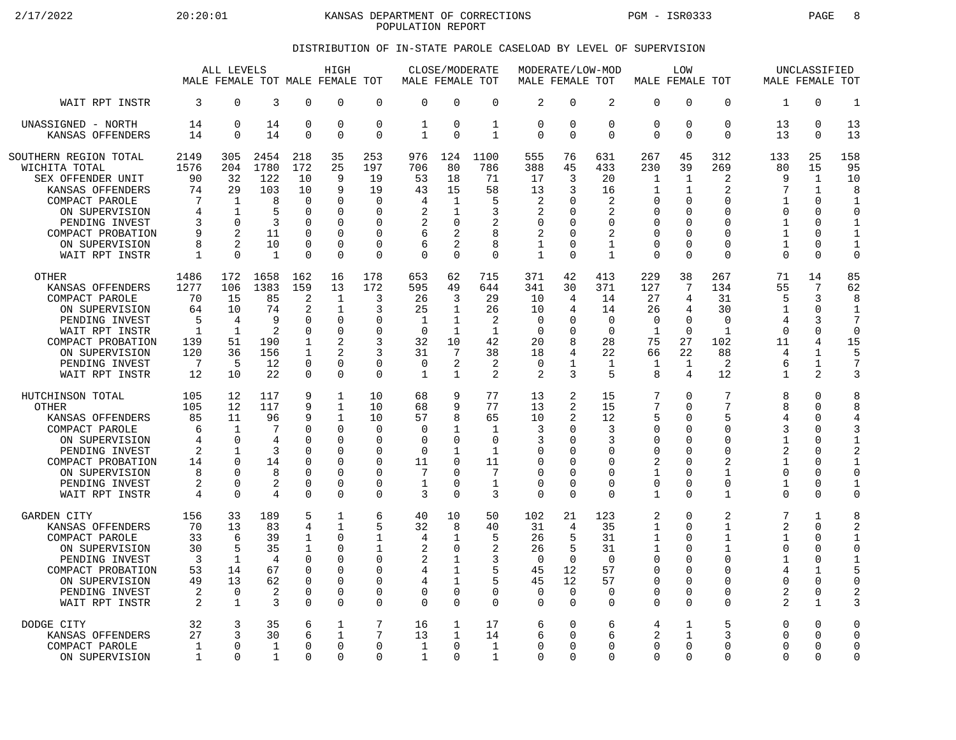2/17/2022 20:20:01 KANSAS DEPARTMENT OF CORRECTIONS PGM - ISR0333 PAGE 8 POPULATION REPORT

## DISTRIBUTION OF IN-STATE PAROLE CASELOAD BY LEVEL OF SUPERVISION

|                                                                                                                                                                                                |                                                        | ALL LEVELS                                                                                            |                                                            |                                                                                                    | HIGH<br>MALE FEMALE TOT MALE FEMALE TOT                                                    |                                                                                            | MALE FEMALE TOT                                             |                                                                                 | CLOSE/MODERATE                                               | MODERATE/LOW-MOD<br>MALE FEMALE TOT                                                  |                                                                                                |                                                                                  | MALE FEMALE TOT                                                                                       | LOW                                                                              |                                                                                                                        |                                                     | UNCLASSIFIED<br>MALE FEMALE TOT                                                                       |                                                                                                                 |
|------------------------------------------------------------------------------------------------------------------------------------------------------------------------------------------------|--------------------------------------------------------|-------------------------------------------------------------------------------------------------------|------------------------------------------------------------|----------------------------------------------------------------------------------------------------|--------------------------------------------------------------------------------------------|--------------------------------------------------------------------------------------------|-------------------------------------------------------------|---------------------------------------------------------------------------------|--------------------------------------------------------------|--------------------------------------------------------------------------------------|------------------------------------------------------------------------------------------------|----------------------------------------------------------------------------------|-------------------------------------------------------------------------------------------------------|----------------------------------------------------------------------------------|------------------------------------------------------------------------------------------------------------------------|-----------------------------------------------------|-------------------------------------------------------------------------------------------------------|-----------------------------------------------------------------------------------------------------------------|
| WAIT RPT INSTR                                                                                                                                                                                 | 3                                                      | $\mathbf 0$                                                                                           | 3                                                          | $\Omega$                                                                                           | $\Omega$                                                                                   | $\mathbf 0$                                                                                | $\Omega$                                                    | $\Omega$                                                                        | $\Omega$                                                     | $\overline{2}$                                                                       | $\Omega$                                                                                       | 2                                                                                | $\mathbf 0$                                                                                           | 0                                                                                | $\Omega$                                                                                                               | 1                                                   | $\Omega$                                                                                              | $\mathbf{1}$                                                                                                    |
| UNASSIGNED - NORTH                                                                                                                                                                             | 14                                                     | $\mathbf 0$                                                                                           | 14                                                         | 0                                                                                                  | $\Omega$                                                                                   | $\mathbf 0$                                                                                | $\mathbf 1$                                                 | $\mathbf 0$                                                                     | $\mathbf{1}$                                                 | $\overline{0}$                                                                       | 0                                                                                              | $\mathbf 0$                                                                      | 0                                                                                                     | 0                                                                                | $\mathbf 0$                                                                                                            | 13                                                  | 0                                                                                                     | 13                                                                                                              |
| KANSAS OFFENDERS                                                                                                                                                                               | 14                                                     | $\Omega$                                                                                              | 14                                                         | $\Omega$                                                                                           | $\Omega$                                                                                   | $\Omega$                                                                                   | $\mathbf{1}$                                                | $\Omega$                                                                        | $\mathbf{1}$                                                 | $\Omega$                                                                             | $\Omega$                                                                                       | $\Omega$                                                                         | $\Omega$                                                                                              | $\Omega$                                                                         | $\Omega$                                                                                                               | 13                                                  | $\Omega$                                                                                              | 13                                                                                                              |
| SOUTHERN REGION TOTAL<br>WICHITA TOTAL<br>SEX OFFENDER UNIT<br>KANSAS OFFENDERS<br>COMPACT PAROLE<br>ON SUPERVISION<br>PENDING INVEST<br>COMPACT PROBATION<br>ON SUPERVISION<br>WAIT RPT INSTR | 2149<br>1576<br>90<br>74<br>7<br>4<br>3<br>9<br>8<br>1 | 305<br>204<br>32<br>29<br>$\mathbf{1}$<br>$\mathbf{1}$<br>$\Omega$<br>2<br>$\overline{2}$<br>$\Omega$ | 2454<br>1780<br>122<br>103<br>8<br>5<br>3<br>11<br>10<br>1 | 218<br>172<br>10<br>10<br>$\Omega$<br><sup>n</sup><br>$\Omega$<br>$\Omega$<br>$\Omega$<br>$\Omega$ | 35<br>25<br>9<br>9<br>$\Omega$<br>$\Omega$<br>$\Omega$<br>$\Omega$<br>$\Omega$<br>$\Omega$ | 253<br>197<br>19<br>19<br>$\mathbf 0$<br>$\Omega$<br>$\Omega$<br>0<br>$\Omega$<br>$\Omega$ | 976<br>706<br>53<br>43<br>4<br>2<br>2<br>6<br>6<br>$\Omega$ | 124<br>80<br>18<br>15<br>$\mathbf{1}$<br>1<br>$\mathbf 0$<br>2<br>2<br>$\Omega$ | 1100<br>786<br>71<br>58<br>5<br>3<br>2<br>8<br>8<br>$\Omega$ | 555<br>388<br>17<br>13<br>2<br>2<br>$\mathbf 0$<br>2<br>$\mathbf{1}$<br>$\mathbf{1}$ | 76<br>45<br>3<br>3<br>$\Omega$<br>$\Omega$<br>$\Omega$<br><sup>0</sup><br>$\Omega$<br>$\Omega$ | 631<br>433<br>20<br>16<br>2<br>2<br>$\Omega$<br>2<br>$\mathbf 1$<br>$\mathbf{1}$ | 267<br>230<br>$\mathbf 1$<br>1<br>$\mathbf 0$<br>$\Omega$<br>$\mathbf 0$<br>0<br>$\Omega$<br>$\Omega$ | 45<br>39<br>1<br>$\mathbf{1}$<br>0<br>U<br>U<br>$\Omega$<br>$\Omega$<br>$\Omega$ | 312<br>269<br>$\overline{2}$<br>$\overline{2}$<br>$\Omega$<br>$\Omega$<br>$\Omega$<br>$\Omega$<br>$\Omega$<br>$\Omega$ | 133<br>80<br>9<br>7<br>1<br>$\Omega$<br>1<br>1<br>U | 25<br>15<br>$\mathbf{1}$<br>1<br>$\Omega$<br>$\Omega$<br>$\Omega$<br>$\Omega$<br>$\Omega$<br>$\Omega$ | 158<br>95<br>10<br>8<br>$\mathbf{1}$<br>$\mathbf 0$<br>$\mathbf{1}$<br>$\mathbf{1}$<br>$\mathbf{1}$<br>$\Omega$ |
| <b>OTHER</b>                                                                                                                                                                                   | 1486                                                   | 172                                                                                                   | 1658                                                       | 162                                                                                                | 16                                                                                         | 178                                                                                        | 653                                                         | 62                                                                              | 715                                                          | 371                                                                                  | 42                                                                                             | 413                                                                              | 229                                                                                                   | 38                                                                               | 267                                                                                                                    | 71                                                  | 14                                                                                                    | 85                                                                                                              |
| KANSAS OFFENDERS                                                                                                                                                                               | 1277                                                   | 106                                                                                                   | 1383                                                       | 159                                                                                                | 13                                                                                         | 172                                                                                        | 595                                                         | 49                                                                              | 644                                                          | 341                                                                                  | 30                                                                                             | 371                                                                              | 127                                                                                                   | 7                                                                                | 134                                                                                                                    | 55                                                  | 7                                                                                                     | 62                                                                                                              |
| COMPACT PAROLE                                                                                                                                                                                 | 70                                                     | 15                                                                                                    | 85                                                         | $\overline{a}$                                                                                     | $\mathbf{1}$                                                                               | 3                                                                                          | 26                                                          | 3                                                                               | 29                                                           | 10                                                                                   | 4                                                                                              | 14                                                                               | 27                                                                                                    | 4                                                                                | 31                                                                                                                     | 5                                                   | 3                                                                                                     | 8                                                                                                               |
| ON SUPERVISION                                                                                                                                                                                 | 64                                                     | 10                                                                                                    | 74                                                         | 2                                                                                                  | $\mathbf{1}$                                                                               | 3                                                                                          | 25                                                          | $\mathbf{1}$                                                                    | 26                                                           | 10                                                                                   | 4                                                                                              | 14                                                                               | 26                                                                                                    | 4                                                                                | 30                                                                                                                     | 1                                                   | $\Omega$                                                                                              | $\mathbf{1}$                                                                                                    |
| PENDING INVEST                                                                                                                                                                                 | 5                                                      | 4                                                                                                     | 9                                                          | $\Omega$                                                                                           | $\Omega$                                                                                   | 0                                                                                          | $\mathbf{1}$                                                | $\mathbf{1}$                                                                    | 2                                                            | $\mathbf 0$                                                                          | $\Omega$                                                                                       | $\Omega$                                                                         | $\mathbf 0$                                                                                           | $\Omega$                                                                         | $\Omega$                                                                                                               | 4                                                   | 3                                                                                                     | 7                                                                                                               |
| WAIT RPT INSTR                                                                                                                                                                                 | $\mathbf{1}$                                           | 1                                                                                                     | $\overline{2}$                                             | $\Omega$                                                                                           | $\Omega$                                                                                   | $\Omega$                                                                                   | $\Omega$                                                    | $\mathbf{1}$                                                                    | $\mathbf{1}$                                                 | $\Omega$                                                                             | $\Omega$                                                                                       | $\Omega$                                                                         | $\mathbf{1}$                                                                                          | $\Omega$                                                                         | $\mathbf{1}$                                                                                                           | $\Omega$                                            | $\Omega$                                                                                              | $\mathbf 0$                                                                                                     |
| COMPACT PROBATION                                                                                                                                                                              | 139                                                    | 51                                                                                                    | 190                                                        | 1                                                                                                  | 2                                                                                          | 3                                                                                          | 32                                                          | 10                                                                              | 42                                                           | 20                                                                                   | 8                                                                                              | 28                                                                               | 75                                                                                                    | 27                                                                               | 102                                                                                                                    | 11                                                  | 4                                                                                                     | 15                                                                                                              |
| ON SUPERVISION                                                                                                                                                                                 | 120                                                    | 36                                                                                                    | 156                                                        | 1                                                                                                  | $\mathfrak{D}$                                                                             | ζ                                                                                          | 31                                                          | 7                                                                               | 38                                                           | 18                                                                                   | 4                                                                                              | 22                                                                               | 66                                                                                                    | 22                                                                               | 88                                                                                                                     | 4                                                   | $\mathbf{1}$                                                                                          | 5                                                                                                               |
| PENDING INVEST                                                                                                                                                                                 | 7                                                      | 5                                                                                                     | 12                                                         | $\Omega$                                                                                           | $\Omega$                                                                                   | 0                                                                                          | $\mathbf 0$                                                 | 2                                                                               | 2                                                            | $\mathbf 0$                                                                          | 1                                                                                              | $\mathbf 1$                                                                      | 1                                                                                                     | 1                                                                                | $\overline{2}$                                                                                                         | 6                                                   | $\mathbf{1}$                                                                                          | 7                                                                                                               |
| WAIT RPT INSTR                                                                                                                                                                                 | 12                                                     | 10                                                                                                    | 22                                                         | $\Omega$                                                                                           | $\Omega$                                                                                   | $\Omega$                                                                                   | 1                                                           | $\mathbf{1}$                                                                    | 2                                                            | 2                                                                                    | 3                                                                                              | 5                                                                                | 8                                                                                                     | 4                                                                                | 12                                                                                                                     | 1                                                   | 2                                                                                                     | 3                                                                                                               |
| HUTCHINSON TOTAL                                                                                                                                                                               | 105                                                    | 12                                                                                                    | 117                                                        | 9                                                                                                  | 1                                                                                          | 10                                                                                         | 68                                                          | 9                                                                               | 77                                                           | 13                                                                                   | 2                                                                                              | 15                                                                               | 7                                                                                                     | $\Omega$                                                                         | 7                                                                                                                      | 8                                                   | $\Omega$                                                                                              | 8                                                                                                               |
| <b>OTHER</b>                                                                                                                                                                                   | 105                                                    | 12                                                                                                    | 117                                                        | 9                                                                                                  | $\mathbf{1}$                                                                               | 10                                                                                         | 68                                                          | 9                                                                               | 77                                                           | 13                                                                                   | 2                                                                                              | 15                                                                               | 7                                                                                                     | 0                                                                                | 7                                                                                                                      | 8                                                   | 0                                                                                                     | 8                                                                                                               |
| KANSAS OFFENDERS                                                                                                                                                                               | 85                                                     | 11                                                                                                    | 96                                                         | 9                                                                                                  | $\mathbf{1}$                                                                               | 10                                                                                         | 57                                                          | 8                                                                               | 65                                                           | 10                                                                                   | 2                                                                                              | 12                                                                               | 5                                                                                                     | $\Omega$                                                                         | 5                                                                                                                      | 4                                                   | $\Omega$                                                                                              | $\overline{4}$                                                                                                  |
| COMPACT PAROLE                                                                                                                                                                                 | 6                                                      | 1                                                                                                     | 7                                                          | U                                                                                                  | $\Omega$                                                                                   | $\mathbf 0$                                                                                | 0                                                           | $\mathbf{1}$                                                                    | 1                                                            | 3                                                                                    | $\Omega$                                                                                       | 3                                                                                | $\Omega$                                                                                              | 0                                                                                | $\cap$                                                                                                                 | 3                                                   | 0                                                                                                     | 3                                                                                                               |
| ON SUPERVISION                                                                                                                                                                                 | 4                                                      | $\Omega$                                                                                              | 4                                                          | <sup>0</sup>                                                                                       | $\Omega$                                                                                   | $\Omega$                                                                                   | $\mathbf 0$                                                 | $\Omega$                                                                        | $\Omega$                                                     | 3                                                                                    | O                                                                                              | 3                                                                                | $\mathbf 0$                                                                                           | 0                                                                                | $\Omega$                                                                                                               | $\mathbf{1}$                                        | $\Omega$                                                                                              | $\mathbf{1}$                                                                                                    |
| PENDING INVEST                                                                                                                                                                                 | 2                                                      | 1                                                                                                     | 3                                                          | <sup>n</sup>                                                                                       | $\Omega$                                                                                   | 0                                                                                          | $\Omega$                                                    | 1                                                                               | $\mathbf{1}$                                                 | 0                                                                                    | ∩                                                                                              | $\Omega$                                                                         | 0                                                                                                     | U                                                                                | $\Omega$                                                                                                               | 2                                                   | $\Omega$                                                                                              | $\overline{2}$                                                                                                  |
| COMPACT PROBATION                                                                                                                                                                              | 14                                                     | $\Omega$                                                                                              | 14                                                         | U                                                                                                  | $\Omega$                                                                                   | 0                                                                                          | 11                                                          | $\Omega$                                                                        | 11                                                           | 0                                                                                    | $\Omega$                                                                                       | $\Omega$                                                                         | 2                                                                                                     | 0                                                                                | $\overline{2}$                                                                                                         | $\mathbf{1}$                                        | $\Omega$                                                                                              | $\mathbf{1}$                                                                                                    |
| ON SUPERVISION                                                                                                                                                                                 | 8                                                      | $\Omega$                                                                                              | 8                                                          | $\Omega$                                                                                           | $\Omega$                                                                                   | $\Omega$                                                                                   | 7                                                           | $\Omega$                                                                        | 7                                                            | $\Omega$                                                                             | ∩                                                                                              | $\Omega$                                                                         | $\mathbf{1}$                                                                                          | $\Omega$                                                                         | $\mathbf{1}$                                                                                                           | $\Omega$                                            | $\Omega$                                                                                              | $\Omega$                                                                                                        |
| PENDING INVEST                                                                                                                                                                                 | 2                                                      | $\mathbf 0$                                                                                           | 2                                                          | 0                                                                                                  | $\Omega$                                                                                   | 0                                                                                          | $\mathbf 1$                                                 | $\Omega$                                                                        | $\mathbf{1}$                                                 | 0                                                                                    | 0                                                                                              | $\mathbf 0$                                                                      | $\mathbf 0$                                                                                           | 0                                                                                | $\mathbf 0$                                                                                                            | 1                                                   | 0                                                                                                     | 1                                                                                                               |
| WAIT RPT INSTR                                                                                                                                                                                 | $\overline{4}$                                         | $\Omega$                                                                                              | 4                                                          | $\Omega$                                                                                           | $\Omega$                                                                                   | $\Omega$                                                                                   | 3                                                           | $\Omega$                                                                        | 3                                                            | $\Omega$                                                                             | $\Omega$                                                                                       | $\Omega$                                                                         | $\mathbf 1$                                                                                           | $\Omega$                                                                         | $\mathbf{1}$                                                                                                           | $\Omega$                                            | $\Omega$                                                                                              | $\mathbf 0$                                                                                                     |
| GARDEN CITY                                                                                                                                                                                    | 156                                                    | 33                                                                                                    | 189                                                        | 5                                                                                                  | 1                                                                                          | 6                                                                                          | 40                                                          | 10                                                                              | 50                                                           | 102                                                                                  | 21                                                                                             | 123                                                                              | 2                                                                                                     | $\Omega$                                                                         | 2                                                                                                                      | 7                                                   | 1                                                                                                     | 8                                                                                                               |
| KANSAS OFFENDERS                                                                                                                                                                               | 70                                                     | 13                                                                                                    | 83                                                         | 4                                                                                                  | $\mathbf{1}$                                                                               | 5                                                                                          | 32                                                          | 8                                                                               | 40                                                           | 31                                                                                   | 4                                                                                              | 35                                                                               | 1                                                                                                     | $\Omega$                                                                         | $\mathbf 1$                                                                                                            | 2                                                   | $\Omega$                                                                                              | $\overline{2}$                                                                                                  |
| COMPACT PAROLE                                                                                                                                                                                 | 33                                                     | 6                                                                                                     | 39                                                         | 1                                                                                                  | $\Omega$                                                                                   | 1                                                                                          | 4                                                           | 1                                                                               | 5                                                            | 26                                                                                   | 5                                                                                              | 31                                                                               | 1                                                                                                     | U                                                                                | $\mathbf{1}$                                                                                                           | 1                                                   | $\Omega$                                                                                              | 1                                                                                                               |
| ON SUPERVISION                                                                                                                                                                                 | 30                                                     | 5                                                                                                     | 35                                                         | $\mathbf{1}$                                                                                       | $\Omega$                                                                                   | 1                                                                                          | 2                                                           | $\mathbf 0$                                                                     | 2                                                            | 26                                                                                   | 5                                                                                              | 31                                                                               | 1                                                                                                     | 0                                                                                | $\mathbf 1$                                                                                                            | $\Omega$                                            | 0                                                                                                     | $\mathbf 0$                                                                                                     |
| PENDING INVEST                                                                                                                                                                                 | 3                                                      | $\mathbf{1}$                                                                                          | $\overline{4}$                                             | $\Omega$                                                                                           | $\Omega$                                                                                   | 0                                                                                          | 2                                                           | 1                                                                               | 3                                                            | $\Omega$                                                                             | $\Omega$                                                                                       | $\Omega$                                                                         | $\mathbf 0$                                                                                           | 0                                                                                | $\Omega$                                                                                                               | 1                                                   | $\Omega$                                                                                              | $\mathbf{1}$                                                                                                    |
| COMPACT PROBATION                                                                                                                                                                              | 53                                                     | 14                                                                                                    | 67                                                         | $\Omega$                                                                                           | $\Omega$                                                                                   | 0                                                                                          | 4                                                           | $\mathbf{1}$                                                                    | 5                                                            | 45                                                                                   | 12                                                                                             | 57                                                                               | $\Omega$                                                                                              | U                                                                                | $\cap$                                                                                                                 | 4                                                   | $\mathbf{1}$                                                                                          | 5                                                                                                               |
| ON SUPERVISION                                                                                                                                                                                 | 49                                                     | 13                                                                                                    | 62                                                         | $\Omega$                                                                                           | $\Omega$                                                                                   | 0                                                                                          | 4                                                           | $\mathbf{1}$                                                                    | 5                                                            | 45                                                                                   | 12                                                                                             | 57                                                                               | $\mathbf 0$                                                                                           | $\Omega$                                                                         | $\Omega$                                                                                                               | $\Omega$                                            | 0                                                                                                     | $\mathbf 0$                                                                                                     |
| PENDING INVEST                                                                                                                                                                                 | 2                                                      | $\Omega$                                                                                              | 2                                                          | $\Omega$                                                                                           | $\Omega$                                                                                   | 0                                                                                          | $\Omega$                                                    | 0                                                                               | $\Omega$                                                     | $\Omega$                                                                             | $\Omega$                                                                                       | $\Omega$                                                                         | 0                                                                                                     | $\Omega$                                                                         | $\Omega$                                                                                                               | 2                                                   | $\Omega$                                                                                              | $\overline{2}$                                                                                                  |
| WAIT RPT INSTR                                                                                                                                                                                 | 2                                                      | $\mathbf{1}$                                                                                          | 3                                                          | $\Omega$                                                                                           | $\Omega$                                                                                   | $\Omega$                                                                                   | $\Omega$                                                    | $\Omega$                                                                        | $\Omega$                                                     | $\mathbf 0$                                                                          | $\Omega$                                                                                       | $\Omega$                                                                         | $\Omega$                                                                                              | $\Omega$                                                                         | $\Omega$                                                                                                               | 2                                                   | $\mathbf{1}$                                                                                          | 3                                                                                                               |
| DODGE CITY                                                                                                                                                                                     | 32                                                     | 3                                                                                                     | 35                                                         | 6                                                                                                  | 1                                                                                          | 7                                                                                          | 16                                                          | $\mathbf{1}$                                                                    | 17                                                           | 6                                                                                    | $\Omega$                                                                                       | 6                                                                                | 4                                                                                                     | 1                                                                                | 5                                                                                                                      | 0                                                   | 0                                                                                                     | 0                                                                                                               |
| KANSAS OFFENDERS                                                                                                                                                                               | 27                                                     | 3                                                                                                     | 30                                                         | 6                                                                                                  | $\mathbf{1}$                                                                               | 7                                                                                          | 13                                                          | $\mathbf{1}$                                                                    | 14                                                           | 6                                                                                    | $\Omega$                                                                                       | 6                                                                                | $\overline{2}$                                                                                        | 1                                                                                | 3                                                                                                                      | <sup>0</sup>                                        | $\Omega$                                                                                              | $\mathbf 0$                                                                                                     |
| COMPACT PAROLE                                                                                                                                                                                 | 1                                                      | $\Omega$                                                                                              | 1                                                          | $\Omega$                                                                                           | $\Omega$                                                                                   | 0                                                                                          | 1                                                           | $\Omega$                                                                        | $\mathbf{1}$                                                 | 0                                                                                    | $\Omega$                                                                                       | $\Omega$                                                                         | $\mathbf 0$                                                                                           | $\Omega$                                                                         | $\Omega$                                                                                                               | O                                                   | $\Omega$                                                                                              | $\mathbf 0$                                                                                                     |
| ON SUPERVISION                                                                                                                                                                                 | 1                                                      | $\Omega$                                                                                              | 1                                                          | $\Omega$                                                                                           | $\Omega$                                                                                   | 0                                                                                          | 1                                                           | O                                                                               | $\mathbf{1}$                                                 | 0                                                                                    | ∩                                                                                              | O                                                                                | $\Omega$                                                                                              | $\Omega$                                                                         | $\Omega$                                                                                                               | <sup>0</sup>                                        | $\Omega$                                                                                              | $\mathbf 0$                                                                                                     |